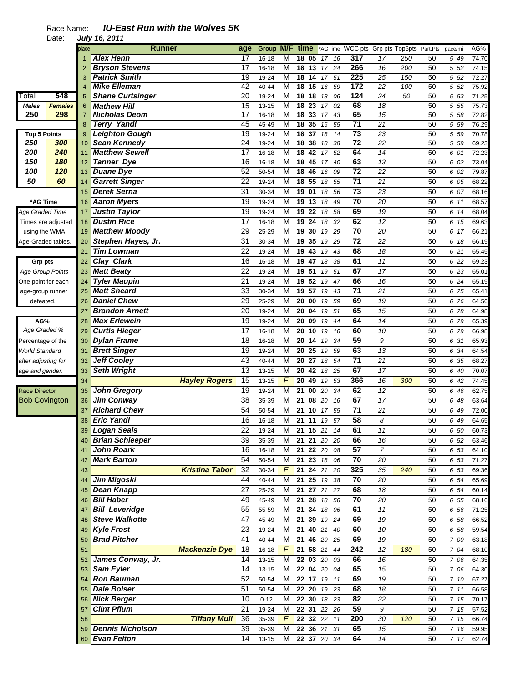|                         |                | place          | Runner                  |                       | age             | <b>Group</b> | M/F time                |                 |                 |               | *AGTime WCC pts Grp pts Top5pts Part.Pts |                 |     |    | pace/mi | AG%   |
|-------------------------|----------------|----------------|-------------------------|-----------------------|-----------------|--------------|-------------------------|-----------------|-----------------|---------------|------------------------------------------|-----------------|-----|----|---------|-------|
|                         |                |                | <b>Alex Henn</b>        |                       | 17              | $16 - 18$    | M                       | 18 05           |                 | 16<br>17      | 317                                      | 17              | 250 | 50 | 5 49    | 74.70 |
|                         |                | 2              | <b>Bryson Stevens</b>   |                       | 17              | $16 - 18$    | M                       | $18$ 13         |                 | 17<br>24      | 266                                      | 16              | 200 | 50 | 5 52    | 74.15 |
|                         |                | 3              | <b>Patrick Smith</b>    |                       | 19              | 19-24        | M                       | $\overline{18}$ | 14              | 17<br>51      | 225                                      | $\overline{25}$ | 150 | 50 | 5 52    | 72.27 |
|                         |                | 4              | <b>Mike Elleman</b>     |                       | 42              | 40-44        | M                       | 18              | 15              | 59<br>16      | 172                                      | 22              | 100 | 50 | 5 52    | 75.92 |
| Total                   | 548            | 5              | <b>Shane Curtsinger</b> |                       | $\overline{20}$ | 19-24        | M                       | 18              | 18              | 18<br>06      | 124                                      | 24              | 50  | 50 | 5 53    | 71.25 |
| Males                   | <b>Females</b> | 6              | <b>Mathew Hill</b>      |                       | 15              | 13-15        | M                       | 18 23           |                 | 17<br>02      | 68                                       | 18              |     | 50 | 5 5 5   | 75.73 |
| 250                     | 298            | $\overline{7}$ | <b>Nicholas Deom</b>    |                       | 17              | $16 - 18$    | M                       | 18 33           |                 | 43<br>17      | 65                                       | 15              |     | 50 | 5 58    | 72.82 |
|                         |                | 8              | <b>Terry Yandl</b>      |                       | 45              | 45-49        | M                       | 18 35           |                 | 55<br>16      | $\overline{71}$                          | 21              |     | 50 | 5 5 9   | 76.29 |
| <b>Top 5 Points</b>     |                | 9              | <b>Leighton Gough</b>   |                       | 19              | 19-24        | M                       | 18              | $\overline{37}$ | 18<br>14      | 73                                       | 23              |     | 50 | 5 5 9   | 70.78 |
| 250                     | 300            | 10             | <b>Sean Kennedy</b>     |                       | 24              | 19-24        | M                       | $\overline{18}$ | 38              | 38<br>18      | 72                                       | 22              |     | 50 | 5 5 9   | 69.23 |
| 200                     | 240            | 11             | <b>Matthew Sewell</b>   |                       | 17              | 16-18        | M                       | 18              | 42              | 52<br>17      | 64                                       | $\overline{14}$ |     | 50 | 6 01    | 72.23 |
| 150                     | 180            | 12             | <b>Tanner Dye</b>       |                       | 16              | $16 - 18$    | M                       | 18              | 45              | 17<br>40      | 63                                       | 13              |     | 50 | 6 02    | 73.04 |
| 100                     | 120            | 13             | <b>Duane Dye</b>        |                       | 52              | 50-54        | M                       | 18 46           |                 | 09<br>16      | $\overline{72}$                          | 22              |     | 50 | 6 02    | 79.87 |
| 50                      | 60             | 14             | <b>Garrett Singer</b>   |                       | 22              | 19-24        | M                       | 18 55           |                 | 18<br>55      | 71                                       | 21              |     | 50 | 6 05    | 68.22 |
|                         |                | 15             | <b>Derek Serna</b>      |                       | 31              | 30-34        | M                       | 19 01           |                 | 56<br>18      | 73                                       | 23              |     | 50 | 6 07    | 68.16 |
| *AG Time                |                | 16             | <b>Aaron Myers</b>      |                       | 19              | 19-24        | M                       | 19              | 13              | 49<br>18      | 70                                       | 20              |     | 50 | 6 11    | 68.57 |
| <u> Age Graded Time</u> |                | 17             | <b>Justin Taylor</b>    |                       | 19              | 19-24        | M                       | 19 22           |                 | 18<br>58      | 69                                       | 19              |     | 50 | 6 14    | 68.04 |
| Times are adjusted      |                | 18             | <b>Dustin Rice</b>      |                       | 17              | $16 - 18$    | M                       | 19              | 24              | 32<br>18      | 62                                       | 12              |     | 50 | 6 15    | 69.63 |
| using the WMA           |                | 19             | <b>Matthew Moody</b>    |                       | 29              | 25-29        | M                       | 19 30           |                 | 29<br>19      | $\overline{70}$                          | 20              |     | 50 | 6 17    | 66.21 |
| Age-Graded tables.      |                | 20             | Stephen Hayes, Jr.      |                       | 31              | 30-34        | M                       | 19              | 35              | 19<br>29      | $\overline{72}$                          | 22              |     | 50 | 6 18    | 66.19 |
|                         |                | 21             | <b>Tim Lowman</b>       |                       | 22              | 19-24        | M                       | 19              | 43              | 43<br>19      | 68                                       | 18              |     | 50 | 6 21    | 65.45 |
| <b>Grp pts</b>          |                | 22             | <b>Clay Clark</b>       |                       | 16              | $16 - 18$    | M                       | 19              | 47              | 38<br>18      | 61                                       | 11              |     | 50 | 6 22    | 69.23 |
| <b>Age Group Points</b> |                | 23             | <b>Matt Beaty</b>       |                       | 22              | 19-24        | M                       | 19 51           |                 | 19<br>51      | 67                                       | 17              |     | 50 | 6 23    | 65.01 |
| One point for each      |                | 24             | <b>Tyler Maupin</b>     |                       | 21              | 19-24        | M                       | 19              | 52              | 19<br>47      | 66                                       | 16              |     | 50 | 6 24    | 65.19 |
| age-group runner        |                | 25             | <b>Matt Sheard</b>      |                       | 33              | 30-34        | M                       | 19 57           |                 | 19<br>43      | $\overline{71}$                          | 21              |     | 50 | 6 25    | 65.41 |
| defeated.               |                | 26             | <b>Daniel Chew</b>      |                       | 29              | 25-29        | M                       | 20 00           |                 | 19<br>59      | 69                                       | 19              |     | 50 | 6 26    | 64.56 |
|                         |                | 27             | <b>Brandon Arnett</b>   |                       | 20              | 19-24        | M                       | 20 04           |                 | 51<br>19      | 65                                       | 15              |     | 50 | 6 28    | 64.98 |
| AG%                     |                | 28             | <b>Max Erlewein</b>     |                       | 19              | 19-24        | M                       | 20 09           |                 | 44<br>19      | 64                                       | 14              |     | 50 | 6 29    | 65.39 |
| Age Graded %            |                | 29             | <b>Curtis Hieger</b>    |                       | 17              | $16 - 18$    | M                       | 20 10           |                 | 19<br>16      | 60                                       | 10              |     | 50 | 6 29    | 66.98 |
| Percentage of the       |                | 30             | <b>Dylan Frame</b>      |                       | 18              | 16-18        | M                       | 20 14           |                 | 19<br>34      | 59                                       | 9               |     | 50 | 6 31    | 65.93 |
| World Standard          |                | 31             | <b>Brett Singer</b>     |                       | 19              | 19-24        | M                       | 20              | 25              | 19<br>59      | 63                                       | 13              |     | 50 | 6 34    | 64.54 |
| after adjusting for     |                | 32             | Jeff Cooley             |                       | 43              | 40-44        | M                       | 20 27           |                 | 54<br>18      | $\overline{71}$                          | 21              |     | 50 | 6 35    | 68.27 |
| age and gender.         |                | 33             | <b>Seth Wright</b>      |                       | 13              | 13-15        | M                       | 20              | 42              | 18<br>25      | 67                                       | 17              |     | 50 | 6 40    | 70.07 |
|                         |                | 34             |                         | <b>Hayley Rogers</b>  | 15              | $13 - 15$    | F                       | 20              | 49              | 53<br>19      | 366                                      | 16              | 300 | 50 | 6 42    | 74.45 |
| <b>Race Director</b>    |                | 35             | John Gregory            |                       | 19              | 19-24        | M                       | 21              | 00              | 20<br>34      | 62                                       | 12              |     | 50 | 6 46    | 62.75 |
| <b>Bob Covington</b>    |                | 36             | <b>Jim Conway</b>       |                       | 38              | 35-39        | M                       | 21              | 08              | 20<br>16      | 67                                       | 17              |     | 50 | 6 48    | 63.64 |
|                         |                | 37             | <b>Richard Chew</b>     |                       | 54              | 50-54        | M                       | 21              | 10              | 55<br>17      | 71                                       | 21              |     | 50 | 6 49    | 72.00 |
|                         |                | 38             | <b>Eric Yandl</b>       |                       | 16              | 16-18        | M                       | 21              | 11              | 19<br>57      | 58                                       | 8               |     | 50 | 6 49    | 64.65 |
|                         |                |                |                         |                       | $\overline{22}$ |              | $\overline{\mathsf{M}}$ |                 |                 |               | 61                                       |                 |     |    |         |       |
|                         |                | 39             | <b>Logan Seals</b>      |                       | 39              | 19-24        |                         | 21              | 15              | 21<br>14      |                                          | 11              |     | 50 | 6 50    | 60.73 |
|                         |                |                | 40 Brian Schleeper      |                       |                 | 35-39        |                         |                 |                 | M 21 21 20 20 | 66                                       | 16              |     | 50 | 6 52    | 63.46 |
|                         |                | 41             | John Roark              |                       | 16              | 16-18        | М                       |                 |                 | 21 22 20 08   | 57                                       | 7               |     | 50 | 6 53    | 64.10 |
|                         |                |                | <b>Mark Barton</b>      |                       | 54              | 50-54        | M                       |                 |                 | 21 23 18 06   | 70                                       | 20              |     | 50 | 6 53    | 71.27 |
|                         |                | 43             |                         | <b>Kristina Tabor</b> | 32              | 30-34        |                         |                 |                 | F 21 24 21 20 | 325                                      | 35              | 240 | 50 | 6 53    | 69.36 |
|                         |                | 44             | <b>Jim Migoski</b>      |                       | 44              | 40-44        | м                       |                 |                 | 21 25 19 38   | 70                                       | 20              |     | 50 | 6 54    | 65.69 |
|                         |                | 45             | <b>Dean Knapp</b>       |                       | 27              | 25-29        | M                       |                 |                 | 21 27 21 27   | 68                                       | 18              |     | 50 | 6 54    | 60.14 |
|                         |                | 46             | <b>Bill Haber</b>       |                       | 49              | 45-49        | М                       |                 |                 | 21 28 18 56   | 70                                       | 20              |     | 50 | 6 55    | 68.16 |
|                         |                | 47             | <b>Bill Leveridge</b>   |                       | $\overline{55}$ | 55-59        | м                       | 21 34 18        |                 | 06            | 61                                       | $\overline{11}$ |     | 50 | 6 56    | 71.25 |
|                         |                | 48             | <b>Steve Walkotte</b>   |                       | 47              | 45-49        | М                       |                 |                 | 21 39 19 24   | 69                                       | 19              |     | 50 | 6 58    | 66.52 |
|                         |                | 49             | <b>Kyle Frost</b>       |                       | 23              | 19-24        | М                       | 21 40 21        |                 | 40            | 60                                       | 10              |     | 50 | 6 58    | 59.54 |
|                         |                | 50             | <b>Brad Pitcher</b>     |                       | 41              | 40-44        | М                       |                 |                 | 21 46 20 25   | 69                                       | 19              |     | 50 | 7 00    | 63.18 |
|                         |                | 51             |                         | <b>Mackenzie Dye</b>  | 18              | $16 - 18$    | $\mathcal{F}$           | 21 58 21        |                 | 44            | 242                                      | 12              | 180 | 50 | 7 04    | 68.10 |
|                         |                | 52             | James Conway, Jr.       |                       | 14              | $13 - 15$    | М                       | 22 03 20        |                 | 03            | 66                                       | 16              |     | 50 | 7 06    | 64.35 |
|                         |                | 53             | <b>Sam Eyler</b>        |                       | 14              | $13 - 15$    | M                       |                 |                 | 22 04 20 04   | 65                                       | 15              |     | 50 | 7 06    | 64.30 |
|                         |                |                | <b>Ron Bauman</b>       |                       | 52              | 50-54        | М                       |                 |                 | 22 17 19 11   | 69                                       | 19              |     | 50 | 7 10    | 67.27 |
|                         |                | 55             | <b>Dale Bolser</b>      |                       | 51              | 50-54        | М                       |                 |                 | 22 20 19 23   | 68                                       | 18              |     | 50 | 711     | 66.58 |
|                         |                | 56             | <b>Nick Berger</b>      |                       | 10              | $0 - 12$     | M                       |                 |                 | 22 30 18 23   | 82                                       | 32              |     | 50 | 7 15    | 70.17 |
|                         |                | 57             | <b>Clint Pflum</b>      |                       | 21              | 19-24        | M                       |                 |                 | 22 31 22 26   | 59                                       | 9               |     | 50 | 7 15    | 57.52 |
|                         |                | 58             |                         | <b>Tiffany Mull</b>   | 36              | 35-39        | F                       |                 |                 | 22 32 22 11   | 200                                      | 30              | 120 | 50 | 7 15    | 66.74 |
|                         |                | 59             | <b>Dennis Nicholson</b> |                       | 39              | 35-39        | M                       | 22 36 21        |                 | 31            | 65                                       | 15              |     | 50 | 7 16    | 59.95 |
|                         |                |                | 60 Evan Felton          |                       | 14              | 13-15        | M                       |                 |                 | 22 37 20 34   | 64                                       | 14              |     | 50 | 717     | 62.74 |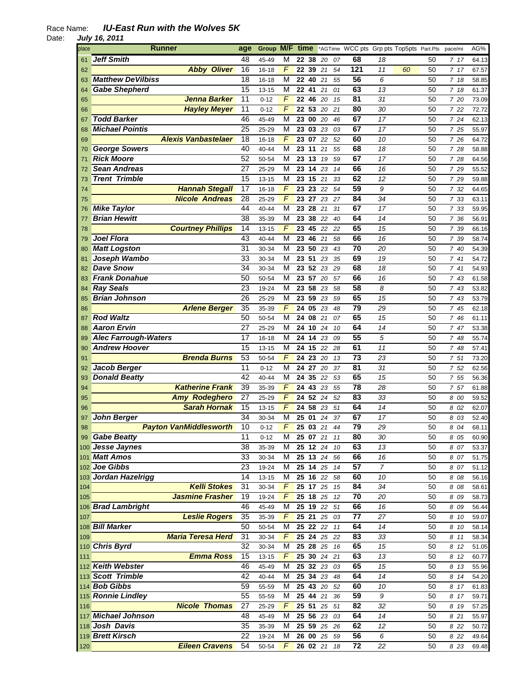| place | <b>Runner</b>                 | age             | Group M/F time |                |                    |    |    |    | *AGTime WCC pts Grp pts Top5pts Part.Pts |                  |    |    | pace/mi | AG%   |
|-------|-------------------------------|-----------------|----------------|----------------|--------------------|----|----|----|------------------------------------------|------------------|----|----|---------|-------|
| 61    | <b>Jeff Smith</b>             | 48              | 45-49          | M              | 22 38              |    | 20 | 07 | 68                                       | 18               |    | 50 | 717     | 64.13 |
| 62    | <b>Abby Oliver</b>            | 16              | 16-18          | F              | 22 39 21           |    |    | 54 | 121                                      | 11               | 60 | 50 | 7 17    | 67.57 |
| 63    | <b>Matthew DeVilbiss</b>      | 18              | $16 - 18$      | M              | 22 40 21           |    |    | 55 | 56                                       | 6                |    | 50 | 7 18    | 58.85 |
| 64    | <b>Gabe Shepherd</b>          | 15              | $13 - 15$      | M              | 22                 | 41 | 21 | 01 | 63                                       | 13               |    | 50 | 718     | 61.37 |
| 65    | <b>Jenna Barker</b>           | 11              | $0 - 12$       | F              | 22 46              |    | 20 | 15 | 81                                       | 31               |    | 50 | 7 20    | 73.09 |
| 66    | <b>Hayley Meyer</b>           | 11              | $0 - 12$       | F              | 22 53              |    | 20 | 21 | 80                                       | 30               |    | 50 | 7 22    | 72.72 |
| 67    | <b>Todd Barker</b>            | 46              | 45-49          | M              | 23 00              |    | 20 | 46 | 67                                       | 17               |    | 50 | 7 24    | 62.13 |
|       | <b>Michael Pointis</b>        | 25              | 25-29          | M              | 23 03 23           |    |    | 03 | 67                                       | 17               |    | 50 | 7 25    | 55.97 |
| 68    | <b>Alexis Vanbastelaer</b>    | 18              |                | F              | 23 07              |    |    |    | 60                                       |                  |    |    |         |       |
| 69    |                               |                 | 16-18          |                |                    |    | 22 | 52 |                                          | 10               |    | 50 | 7 26    | 64.72 |
| 70    | <b>George Sowers</b>          | 40              | 40-44          | М              | 23 11              |    | 21 | 55 | 68                                       | 18               |    | 50 | 7 28    | 58.88 |
| 71    | <b>Rick Moore</b>             | 52              | 50-54          | M              | 23 13              |    | 19 | 59 | 67                                       | 17               |    | 50 | 7 28    | 64.56 |
| 72    | <b>Sean Andreas</b>           | 27              | 25-29          | M              | 23 14 23           |    |    | 14 | 66                                       | 16               |    | 50 | 7 29    | 55.52 |
| 73    | <b>Trent Trimble</b>          | 15              | 13-15          | M              | 23 15 21           |    |    | 33 | 62                                       | 12               |    | 50 | 7 29    | 59.88 |
| 74    | <b>Hannah Stegall</b>         | 17              | 16-18          | F              | 23 23 22           |    |    | 54 | 59                                       | 9                |    | 50 | 7 32    | 64.65 |
| 75    | <b>Nicole Andreas</b>         | $\overline{28}$ | 25-29          | F              | 23 27              |    | 23 | 27 | 84                                       | 34               |    | 50 | 7 33    | 63.11 |
| 76    | <b>Mike Taylor</b>            | 44              | 40-44          | М              | 23 28 21           |    |    | 31 | 67                                       | 17               |    | 50 | 7 33    | 59.95 |
| 77    | <b>Brian Hewitt</b>           | 38              | 35-39          | M              | 23                 | 38 | 22 | 40 | 64                                       | 14               |    | 50 | 7 36    | 56.91 |
| 78    | <b>Courtney Phillips</b>      | 14              | $13 - 15$      | F              | 23 45              |    | 22 | 22 | 65                                       | 15               |    | 50 | 7 39    | 66.16 |
| 79    | <b>Joel Flora</b>             | 43              | 40-44          | M              | 23 46              |    | 21 | 58 | 66                                       | 16               |    | 50 | 7 39    | 58.74 |
| 80    | <b>Matt Logston</b>           | 31              | 30-34          | M              | 23 50              |    | 23 | 43 | 70                                       | 20               |    | 50 | 7 40    | 54.39 |
| 81    | Joseph Wambo                  | 33              | 30-34          | M              | 23 51              |    | 23 | 35 | 69                                       | 19               |    | 50 | 741     | 54.72 |
| 82    | <b>Dave Snow</b>              | 34              | 30-34          | м              | 23 52 23           |    |    | 29 | 68                                       | 18               |    | 50 | 741     | 54.93 |
| 83    | <b>Frank Donahue</b>          | 50              | 50-54          | M              | 23 57              |    | 20 | 57 | 66                                       | 16               |    | 50 | 7 43    | 61.58 |
| 84    | <b>Ray Seals</b>              | 23              | 19-24          | м              | 23 58 23           |    |    | 58 | 58                                       | 8                |    | 50 | 743     | 53.82 |
| 85    | <b>Brian Johnson</b>          | 26              | 25-29          | M              | 23 59 23           |    |    | 59 | 65                                       | 15               |    | 50 | 7 43    | 53.79 |
| 86    | <b>Arlene Berger</b>          | 35              | 35-39          | F              | 24 05              |    | 23 | 48 | 79                                       | 29               |    | 50 | 7 45    | 62.18 |
| 87    | <b>Rod Waltz</b>              | 50              | 50-54          | M              | 24 08 21           |    |    | 07 | 65                                       | 15               |    | 50 | 7 46    | 61.11 |
| 88    | <b>Aaron Ervin</b>            | 27              | 25-29          | M              | 24 10 24           |    |    | 10 | 64                                       | 14               |    | 50 | 7 47    | 53.38 |
| 89    | <b>Alec Farrough-Waters</b>   | 17              | $16 - 18$      | M              | 24 14              |    | 23 | 09 | 55                                       | 5                |    | 50 | 7 48    | 55.74 |
| 90    | <b>Andrew Hoover</b>          | 15              | $13 - 15$      | м              | 24 15              |    | 22 | 28 | 61                                       | 11               |    | 50 | 7 48    | 57.41 |
| 91    | <b>Brenda Burns</b>           | 53              | 50-54          | F              | 24 23 20           |    |    | 13 | 73                                       | 23               |    | 50 | 7 51    | 73.20 |
|       | Jacob Berger                  | 11              | $0 - 12$       | М              | 24 27              |    | 20 | 37 | 81                                       | 31               |    | 50 | 7 52    |       |
| 92    | <b>Donald Beatty</b>          | 42              |                | M              | 24 35 22           |    |    |    | 65                                       | 15               |    | 50 |         | 62.56 |
| 93    | <b>Katherine Frank</b>        | 39              | 40-44          | F              | $\overline{24}$ 43 |    |    | 53 | 78                                       |                  |    |    | 7 55    | 56.36 |
| 94    |                               |                 | 35-39          |                | 24 52              |    | 23 | 55 |                                          | 28               |    | 50 | 7 57    | 61.88 |
| 95    | <b>Amy Rodeghero</b>          | 27              | 25-29          | F              |                    |    | 24 | 52 | 83                                       | 33               |    | 50 | 8 00    | 59.52 |
| 96    | <b>Sarah Hornak</b>           | 15              | 13-15          | F              | 24 58              |    | 23 | 51 | 64                                       | 14               |    | 50 | 8 02    | 62.07 |
| 97    | <b>John Berger</b>            | 34              | 30-34          | М              | 25 01              |    | 24 | 37 | 67                                       | 17               |    | 50 | 8 03    | 52.40 |
| 98    | <b>Payton VanMiddlesworth</b> | 10              | $0 - 12$       | F              | 25 03 21           |    |    | 44 | 79                                       | 29               |    | 50 | 8 04    | 68.11 |
| 99    | <b>Gabe Beatty</b>            | 11              | $0 - 12$       | М              | 25 07 21           |    |    | 11 | 80                                       | 30               |    | 50 | 8 05    | 60.90 |
|       | 100 Jesse Jaynes              | 38              | 35-39          | M              | 25 12 24           |    |    | 10 | 63                                       | 13               |    | 50 | 8 07    | 53.37 |
|       | 101 Matt Amos                 | 33              | 30-34          | M              | 25 13 24           |    |    | 56 | 66                                       | 16               |    | 50 | 8 07    | 51.75 |
|       | 102 Joe Gibbs                 | 23              | 19-24          | M              | 25 14 25           |    |    | 14 | 57                                       | $\boldsymbol{7}$ |    | 50 | 8 07    | 51.12 |
|       | 103 Jordan Hazelrigg          | 14              | $13 - 15$      | M              | 25 16 22           |    |    | 58 | 60                                       | 10               |    | 50 | 8 08    | 56.16 |
| 104   | <b>Kelli Stokes</b>           | 31              | 30-34          | $\overline{F}$ | 25 17 25           |    |    | 15 | 84                                       | 34               |    | 50 | 8 08    | 58.61 |
| 105   | <b>Jasmine Frasher</b>        | 19              | 19-24          | F              | 25 18 25           |    |    | 12 | 70                                       | 20               |    | 50 | 8 0 9   | 58.73 |
|       | 106 Brad Lambright            | 46              | 45-49          | M              | 25 19 22           |    |    | 51 | 66                                       | 16               |    | 50 | 8 0 9   | 56.44 |
| 107   | <b>Leslie Rogers</b>          | 35              | 35-39          | F              | 25 21 25           |    |    | 03 | 77                                       | 27               |    | 50 | 8 10    | 59.07 |
|       | 108 Bill Marker               | 50              | 50-54          | M              | 25 22 22           |    |    | 11 | 64                                       | 14               |    | 50 | 8 10    | 58.14 |
| 109   | <b>Maria Teresa Herd</b>      | 31              | 30-34          | F              | 25 24 25           |    |    | 22 | 83                                       | 33               |    | 50 | 8 11    | 58.34 |
|       | 110 Chris Byrd                | 32              | 30-34          | M              | 25 28 25           |    |    | 16 | 65                                       | 15               |    | 50 | 8 12    | 51.05 |
| 111   | <b>Emma Ross</b>              | 15              | $13 - 15$      | F              | $25\ 30\ 24$       |    |    | 21 | 63                                       | 13               |    | 50 | 8 12    | 60.77 |
|       | 112 Keith Webster             | 46              | 45-49          | M              | 25 32 23           |    |    | 03 | 65                                       | 15               |    | 50 | 8 13    | 55.96 |
|       | 113 Scott Trimble             | 42              | 40-44          | м              | 25 34 23           |    |    | 48 | 64                                       | 14               |    | 50 | 8 14    | 54.20 |
|       | 114 Bob Gibbs                 | 59              | 55-59          | M              | 25 43 20           |    |    | 52 | 60                                       | 10               |    | 50 | 8 17    | 61.83 |
|       | 115 Ronnie Lindley            | 55              | 55-59          | M              | 25 44 21           |    |    | 36 | 59                                       | 9                |    | 50 | 8 17    | 59.71 |
| 116   | <b>Nicole Thomas</b>          | $\overline{27}$ | 25-29          | F              | 25 51 25           |    |    | 51 | 82                                       | 32               |    | 50 | 8 19    | 57.25 |
|       | 117 Michael Johnson           | 48              | 45-49          | M              | 25 56 23           |    |    | 03 | 64                                       | 14               |    | 50 | 8 21    | 55.97 |
|       | 118 Josh Davis                | 35              | 35-39          | M              | 25 59 25           |    |    | 26 | 62                                       | 12               |    | 50 | 8 2 2   | 50.72 |
|       | 119 Brett Kirsch              | 22              | 19-24          | M              | 26 00 25           |    |    | 59 | 56                                       | 6                |    | 50 | 8 22    | 49.64 |
| 120   | <b>Eileen Cravens</b>         | 54              | 50-54          | F              | 26 02 21           |    |    | 18 | 72                                       | 22               |    | 50 | 8 2 3   | 69.48 |
|       |                               |                 |                |                |                    |    |    |    |                                          |                  |    |    |         |       |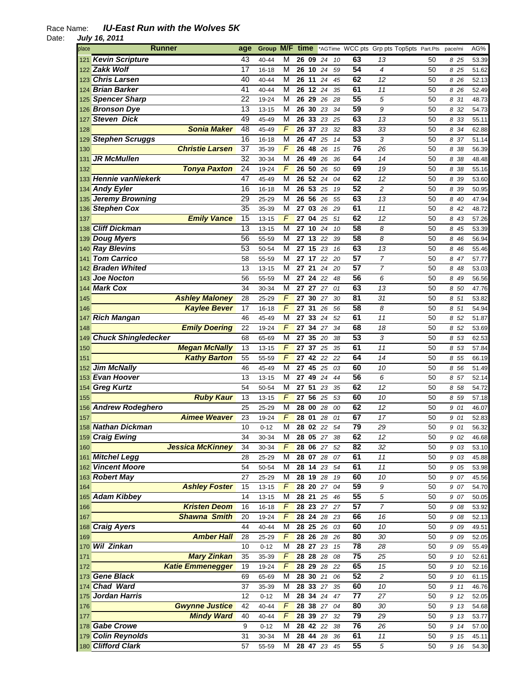| place | Runner                     | age | Group M/F time                       |       |             |    |                 | *AGTime WCC pts Grp pts Top5pts Part.Pts |    | pace/mi | AG%   |
|-------|----------------------------|-----|--------------------------------------|-------|-------------|----|-----------------|------------------------------------------|----|---------|-------|
|       | 121 Kevin Scripture        | 43  | М<br>40-44                           | 26 09 | 24          | 10 | 63              | 13                                       | 50 | 8 25    | 53.39 |
|       | 122 Zakk Wolf              | 17  | М<br>16-18                           |       | 26 10<br>24 | 59 | 54              | 4                                        | 50 | 8 25    | 51.62 |
|       | 123 Chris Larsen           | 40  | M<br>40-44                           | 26 11 | 24          | 45 | 62              | 12                                       | 50 | 8 26    | 52.13 |
|       | 124 Brian Barker           | 41  | M<br>40-44                           | 26 12 | 24          | 35 | 61              | 11                                       | 50 | 8 26    | 52.49 |
|       | 125 Spencer Sharp          | 22  | M<br>19-24                           |       | 26 29 26    | 28 | 55              | 5                                        | 50 | 8 31    | 48.73 |
|       | 126 Bronson Dye            | 13  | M<br>13-15                           | 26 30 | 23          | 34 | 59              | 9                                        | 50 | 8 32    | 54.73 |
|       | <b>Steven Dick</b>         | 49  | M<br>45-49                           | 26 33 | 23          | 25 | 63              | 13                                       | 50 |         |       |
| 127   | <b>Sonia Maker</b>         | 48  | F                                    | 26 37 |             |    | 83              |                                          |    | 8 33    | 55.11 |
| 128   |                            |     | 45-49                                |       | 23          | 32 |                 | 33                                       | 50 | 8 34    | 62.88 |
| 129   | <b>Stephen Scruggs</b>     | 16  | M<br>16-18                           |       | 26 47 25    | 14 | 53              | 3                                        | 50 | 8 37    | 51.14 |
| 130   | <b>Christie Larsen</b>     | 37  | F<br>35-39                           | 26 48 | 26          | 15 | 76              | 26                                       | 50 | 8 38    | 56.39 |
| 131   | <b>JR McMullen</b>         | 32  | М<br>30-34                           | 26 49 | 26          | 36 | 64              | 14                                       | 50 | 8 38    | 48.48 |
| 132   | <b>Tonya Paxton</b>        | 24  | F<br>19-24                           |       | 26 50<br>26 | 50 | 69              | 19                                       | 50 | 8 38    | 55.16 |
|       | 133 Hennie vanNiekerk      | 47  | M<br>45-49                           | 26 52 | 24          | 04 | 62              | 12                                       | 50 | 8 39    | 53.60 |
|       | 134 Andy Eyler             | 16  | М<br>16-18                           |       | 26 53 25    | 19 | 52              | $\overline{c}$                           | 50 | 8 39    | 50.95 |
|       | 135 Jeremy Browning        | 29  | M<br>25-29                           | 26 56 | 26          | 55 | 63              | 13                                       | 50 | 8 40    | 47.94 |
|       | 136 Stephen Cox            | 35  | M<br>35-39                           | 27 03 | 26          | 29 | 61              | 11                                       | 50 | 8 42    | 48.72 |
| 137   | <b>Emily Vance</b>         | 15  | $\sqrt{ }$<br>13-15                  | 27 04 | 25          | 51 | 62              | 12                                       | 50 | 8 43    | 57.26 |
|       | 138 Cliff Dickman          | 13  | M<br>13-15                           |       | 27 10 24    | 10 | 58              | 8                                        | 50 | 8 45    | 53.39 |
|       | 139 Doug Myers             | 56  | М<br>55-59                           | 27 13 | 22          | 39 | 58              | 8                                        | 50 | 8 4 6   | 56.94 |
|       | 140 Ray Blevins            | 53  | M<br>50-54                           |       | 27 15 23    | 16 | 63              | 13                                       | 50 | 8 46    | 55.46 |
| 141   | <b>Tom Carrico</b>         | 58  | M<br>55-59                           | 27 17 | 22          | 20 | 57              | 7                                        | 50 | 8 47    | 57.77 |
|       | 142 Braden Whited          | 13  | М<br>$13 - 15$                       | 27 21 | 24          | 20 | 57              | 7                                        | 50 | 8 48    | 53.03 |
| 143   | <b>Joe Nocton</b>          | 56  | 55-59<br>М                           |       | 27 24 22    | 48 | 56              | 6                                        | 50 | 8 49    | 56.56 |
|       | 144 Mark Cox               |     |                                      |       |             |    | 63              |                                          |    |         |       |
|       |                            | 34  | М<br>30-34                           |       | 27 27 27    | 01 |                 | 13                                       | 50 | 8 50    | 47.76 |
| 145   | <b>Ashley Maloney</b>      | 28  | F<br>25-29                           |       | 27 30 27    | 30 | 81              | 31                                       | 50 | 8 51    | 53.82 |
| 146   | <b>Kaylee Bever</b>        | 17  | F<br>16-18                           |       | 27 31<br>26 | 56 | 58              | 8                                        | 50 | 8 51    | 54.94 |
| 147   | <b>Rich Mangan</b>         | 46  | M<br>45-49                           | 27    | 33<br>24    | 52 | 61              | 11                                       | 50 | 8 52    | 51.87 |
| 148   | <b>Emily Doering</b>       | 22  | F<br>19-24                           | 27    | 34<br>27    | 34 | 68              | 18                                       | 50 | 8 52    | 53.69 |
| 149   | <b>Chuck Shingledecker</b> | 68  | M<br>65-69                           | 27    | 35<br>20    | 38 | 53              | 3                                        | 50 | 8 53    | 62.53 |
| 150   | <b>Megan McNally</b>       | 13  | F<br>13-15                           |       | 27 37 25    | 35 | 61              | 11                                       | 50 | 8 53    | 57.84 |
| 151   | <b>Kathy Barton</b>        | 55  | F<br>55-59                           | 27 42 | 22          | 22 | 64              | 14                                       | 50 | 8 55    | 66.19 |
| 152   | <b>Jim McNally</b>         | 46  | M<br>45-49                           | 27    | 45<br>25    | 03 | 60              | 10                                       | 50 | 8 56    | 51.49 |
|       | 153 Evan Hoover            | 13  | M<br>13-15                           | 27    | 49<br>24    | 44 | 56              | 6                                        | 50 | 8 57    | 52.14 |
|       | 154 Greg Kurtz             | 54  | M<br>50-54                           | 27 51 | 23          | 35 | 62              | 12                                       | 50 | 8 58    | 54.72 |
| 155   | <b>Ruby Kaur</b>           | 13  | F<br>$13 - 15$                       | 27 56 | 25          | 53 | 60              | 10                                       | 50 | 8 59    | 57.18 |
|       | 156 Andrew Rodeghero       | 25  | М<br>25-29                           |       | 28 00 28    | 00 | 62              | 12                                       | 50 | 9 01    | 46.07 |
| 157   | <b>Aimee Weaver</b>        | 23  | F<br>19-24                           | 28 01 | 28          | 01 | 67              | 17                                       | 50 | 9 01    | 52.83 |
|       | 158 Nathan Dickman         | 10  | M<br>$0 - 12$                        |       | 28 02 22    | 54 | 79              | 29                                       | 50 | 9 01    | 56.32 |
|       | 159 Craig Ewing            | 34  | М<br>30-34                           |       | 28 05 27 38 |    | 62              | 12                                       | 50 | 9 02    | 46.68 |
| 160   | <b>Jessica McKinney</b>    | 34  | $\sqrt{ }$<br>30-34                  |       | 28 06 27    | 52 | 82              | 32                                       | 50 | 9 03    | 53.10 |
|       | 161 Mitchel Legg           | 28  | $25 - 29$<br>M                       |       | 28 07 28    | 07 | 61              | 11                                       | 50 | 9 03    | 45.88 |
|       | 162 Vincent Moore          | 54  | М<br>50-54                           |       | 28 14 23    | 54 | 61              | $11$                                     | 50 | 9 05    | 53.98 |
|       | 163 Robert May             | 27  | М                                    |       | 28 19 28    |    | 60              | 10                                       |    |         |       |
|       | <b>Ashley Foster</b>       |     | 25-29<br>$\overline{F}$              |       | 28 20 27    | 19 | 59              | 9                                        | 50 | 9 07    | 45.56 |
| 164   | 165 Adam Kibbey            | 15  | $13 - 15$                            |       |             | 04 |                 |                                          | 50 | 9 07    | 54.70 |
|       |                            | 14  | $\overline{\mathsf{M}}$<br>$13 - 15$ |       | 28 21 25    | 46 | 55              | 5                                        | 50 | 9 07    | 50.05 |
| 166   | <b>Kristen Deom</b>        | 16  | F<br>$16 - 18$                       |       | 28 23 27    | 27 | 57              | 7                                        | 50 | 9 08    | 53.92 |
| 167   | <b>Shawna Smith</b>        | 20  | F<br>19-24                           |       | 28 24 28    | 23 | 66              | 16                                       | 50 | 9 08    | 52.13 |
|       | 168 Craig Ayers            | 44  | M<br>40-44                           |       | 28 25 26    | 03 | 60              | 10                                       | 50 | 9 09    | 49.51 |
| 169   | <b>Amber Hall</b>          | 28  | F<br>25-29                           |       | 28 26 28    | 26 | 80              | 30                                       | 50 | 9 09    | 52.05 |
|       | 170 Wil Zinkan             | 10  | M<br>$0 - 12$                        |       | 28 27 23    | 15 | 78              | 28                                       | 50 | 9 09    | 55.49 |
| 171   | <b>Mary Zinkan</b>         | 35  | $\overline{F}$<br>35-39              |       | 28 28 28    | 08 | $\overline{75}$ | 25                                       | 50 | 9 10    | 52.61 |
| 172   | <b>Katie Emmenegger</b>    | 19  | F<br>19-24                           |       | 28 29 28    | 22 | 65              | 15                                       | 50 | 9 10    | 52.16 |
|       | 173 Gene Black             | 69  | M<br>65-69                           |       | 28 30 21    | 06 | 52              | $\overline{c}$                           | 50 | 9 10    | 61.15 |
|       | 174 Chad Ward              | 37  | M<br>35-39                           |       | 28 33 27    | 35 | 60              | 10                                       | 50 | 9 11    | 46.76 |
|       | 175 Jordan Harris          | 12  | M<br>$0 - 12$                        |       | 28 34 24    | 47 | 77              | 27                                       | 50 | 9 12    | 52.05 |
| 176   | <b>Gwynne Justice</b>      | 42  | $\overline{F}$<br>40-44              |       | 28 38 27    | 04 | 80              | 30                                       | 50 | 9 13    | 54.68 |
| 177   | <b>Mindy Ward</b>          | 40  | $\overline{F}$<br>40-44              |       | 28 39 27    | 32 | 79              | 29                                       | 50 | 9 13    | 53.77 |
|       | 178 Gabe Crowe             | 9   | М<br>$0 - 12$                        |       | 28 42 22    | 38 | 76              | 26                                       | 50 | 9 14    | 57.00 |
|       | 179 Colin Reynolds         | 31  | M<br>30-34                           |       | 28 44 28    | 36 | 61              | 11                                       | 50 | 9 15    | 45.11 |
|       | 180 Clifford Clark         | 57  | М<br>55-59                           |       | 28 47 23    | 45 | 55              | 5                                        | 50 | 9 16    | 54.30 |
|       |                            |     |                                      |       |             |    |                 |                                          |    |         |       |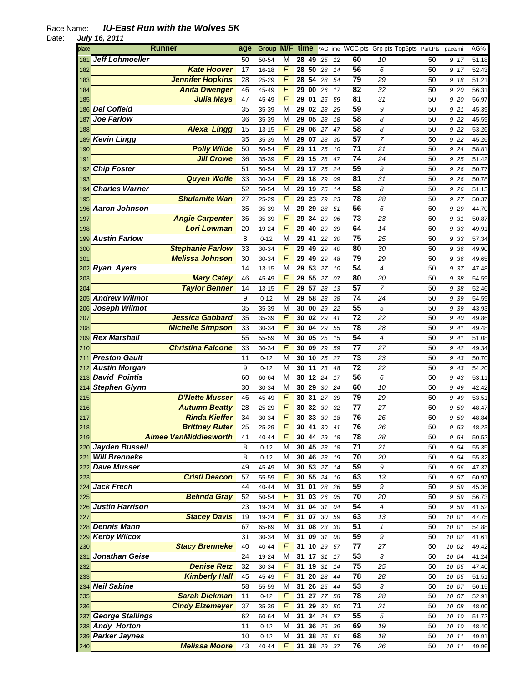| place | <b>Runner</b>                | age | Group M/F time |                |               |                         |        |    | *AGTime WCC pts Grp pts Top5pts Part.Pts |                |    | pace/mi | AG%   |
|-------|------------------------------|-----|----------------|----------------|---------------|-------------------------|--------|----|------------------------------------------|----------------|----|---------|-------|
| 181   | <b>Jeff Lohmoeller</b>       | 50  | 50-54          | М              |               | 28 49 25                |        | 12 | 60                                       | 10             | 50 | 917     | 51.18 |
| 182   | <b>Kate Hoover</b>           | 17  | 16-18          | F              |               | 28 50 28                |        | 14 | 56                                       | 6              | 50 | 9 17    | 52.43 |
| 183   | <b>Jennifer Hopkins</b>      | 28  | 25-29          | F              | 28 54         |                         | 28     | 54 | 79                                       | 29             | 50 | 918     | 51.21 |
| 184   | <b>Anita Dwenger</b>         | 46  | 45-49          | $\overline{F}$ | 29 00         |                         | 26     | 17 | 82                                       | 32             | 50 | 9 20    | 56.31 |
| 185   | <b>Julia Mays</b>            | 47  | 45-49          | $\overline{F}$ | 29 01         |                         | 25     | 59 | 81                                       | 31             | 50 | 9 20    | 56.97 |
|       | 186 Del Cofield              | 35  | 35-39          | M              | 29 02         |                         | 28     | 25 | 59                                       | 9              | 50 | 9 21    | 45.39 |
|       | <b>Joe Farlow</b>            | 36  |                | M              | 29 05         |                         | 28     | 18 | 58                                       | 8              | 50 | 9 22    |       |
| 187   |                              |     | 35-39          | F              |               |                         |        |    |                                          |                |    |         | 45.59 |
| 188   | <b>Alexa Lingg</b>           | 15  | 13-15          |                | 29 06         |                         | 27     | 47 | 58                                       | 8              | 50 | 9 22    | 53.26 |
| 189   | <b>Kevin Lingg</b>           | 35  | 35-39          | M              | 29 07         |                         | 28     | 30 | 57                                       | 7              | 50 | 9 22    | 45.26 |
| 190   | <b>Polly Wilde</b>           | 50  | 50-54          | F              | 29 11         |                         | 25     | 10 | 71                                       | 21             | 50 | 9 24    | 58.81 |
| 191   | <b>Jill Crowe</b>            | 36  | 35-39          | $\sqrt{ }$     |               | 29 15 28                |        | 47 | 74                                       | 24             | 50 | 9 25    | 51.42 |
|       | 192 Chip Foster              | 51  | 50-54          | M              |               | 29 17 25                |        | 24 | 59                                       | 9              | 50 | 9 26    | 50.77 |
| 193   | <b>Quyen Wolfe</b>           | 33  | 30-34          | F              | $29$ 18       |                         | 29     | 09 | 81                                       | 31             | 50 | 9 26    | 50.78 |
| 194   | <b>Charles Warner</b>        | 52  | 50-54          | M              |               | $\overline{29}$ 19 $25$ |        | 14 | $\overline{58}$                          | 8              | 50 | 9 26    | 51.13 |
| 195   | <b>Shulamite Wan</b>         | 27  | 25-29          | $\sqrt{ }$     | 29 23         |                         | 29     | 23 | 78                                       | 28             | 50 | 9 27    | 50.37 |
|       | 196 Aaron Johnson            | 35  | 35-39          | M              | 29 29         |                         | 28     | 51 | 56                                       | 6              | 50 | 9 29    | 44.70 |
| 197   | <b>Angie Carpenter</b>       | 36  | 35-39          | $\sqrt{ }$     | 29 34         |                         | 29     | 06 | 73                                       | 23             | 50 | 9 31    | 50.87 |
| 198   | <b>Lori Lowman</b>           | 20  | 19-24          | $\sqrt{ }$     |               | 29 40 29                |        | 39 | 64                                       | 14             | 50 | 9 33    | 49.91 |
| 199   | <b>Austin Farlow</b>         | 8   | $0 - 12$       | M              | 29 41         |                         | 22     | 30 | 75                                       | 25             | 50 | 9 33    | 57.34 |
|       | <b>Stephanie Farlow</b>      |     |                | $\sqrt{ }$     | 29 49         |                         |        |    | 80                                       |                |    |         |       |
| 200   |                              | 33  | 30-34          |                |               |                         | 29     | 40 |                                          | 30             | 50 | 9 36    | 49.90 |
| 201   | <b>Melissa Johnson</b>       | 30  | 30-34          | F              | 29 49         |                         | 29     | 48 | 79                                       | 29             | 50 | 9 36    | 49.65 |
|       | 202 Ryan Ayers               | 14  | 13-15          | M              | 29 53         |                         | 27     | 10 | 54                                       | $\overline{4}$ | 50 | 9 37    | 47.48 |
| 203   | <b>Mary Catey</b>            | 46  | 45-49          | $\sqrt{ }$     |               | 29 55 27                |        | 07 | 80                                       | 30             | 50 | 9 38    | 54.59 |
| 204   | <b>Taylor Benner</b>         | 14  | $13 - 15$      | $\sqrt{2}$     |               | 29 57 28                |        | 13 | 57                                       | $\overline{7}$ | 50 | 938     | 52.46 |
|       | 205 Andrew Wilmot            | 9   | $0 - 12$       | M              | 29 58         |                         | 23     | 38 | 74                                       | 24             | 50 | 9 39    | 54.59 |
|       | 206 Joseph Wilmot            | 35  | 35-39          | M              |               | 30 00 29                |        | 22 | 55                                       | 5              | 50 | 9 3 9   | 43.93 |
| 207   | <b>Jessica Gabbard</b>       | 35  | 35-39          | $\sqrt{2}$     |               | 30 02 29                |        | 41 | $\overline{72}$                          | 22             | 50 | 9 40    | 49.86 |
| 208   | <b>Michelle Simpson</b>      | 33  | 30-34          | $\sqrt{2}$     | 30 04         |                         | 29     | 55 | 78                                       | 28             | 50 | 9 41    | 49.48 |
| 209   | <b>Rex Marshall</b>          | 55  | 55-59          | M              | 30 05         |                         | 25     | 15 | 54                                       | $\overline{4}$ | 50 | 9 41    | 51.08 |
| 210   | <b>Christina Falcone</b>     | 33  | 30-34          | $\sqrt{ }$     | 30 09         |                         | 29     | 59 | 77                                       | 27             | 50 | 9 42    | 49.34 |
| 211   | <b>Preston Gault</b>         | 11  | $0 - 12$       | M              | 30 10         |                         | 25     | 27 | 73                                       | 23             | 50 | 9 43    | 50.70 |
|       | 212 Austin Morgan            | 9   | $0 - 12$       | M              | 30 11         |                         | 23     | 48 | $\overline{72}$                          | 22             | 50 | 9 43    | 54.20 |
|       | 213 David Pointis            | 60  | 60-64          | M              |               | 30 12                   | 24     | 17 | 56                                       | 6              | 50 | 9 43    | 53.11 |
|       |                              |     |                |                |               |                         |        |    |                                          |                |    |         |       |
|       | 214 Stephen Glynn            | 30  | 30-34          | M              | 30 29         |                         | 30     | 24 | 60                                       | 10             | 50 | 9 49    | 42.42 |
| 215   | <b>D'Nette Musser</b>        | 46  | 45-49          | F              | 30 31         |                         | 27     | 39 | 79                                       | 29             | 50 | 9 49    | 53.51 |
| 216   | <b>Autumn Beatty</b>         | 28  | 25-29          | F              | 30 32         |                         | 30     | 32 | 77                                       | 27             | 50 | 9 50    | 48.47 |
| 217   | <b>Rinda Kieffer</b>         | 34  | 30-34          | F              | 30            | 33                      | 30     | 18 | 76                                       | 26             | 50 | 9 50    | 48.84 |
| 218   | <b>Brittney Ruter</b>        | 25  | 25-29          | $\overline{F}$ | 30 41         |                         | 30     | 41 | 76                                       | 26             | 50 | 9 53    | 48.23 |
| 219   | <b>Aimee VanMiddlesworth</b> | 41  | 40-44          | F              |               | 30 44 29                |        | 18 | 78                                       | 28             | 50 | 9 54    | 50.52 |
|       | 220 Jayden Bussell           | 8   | $0 - 12$       | M              | 30 45 23      |                         |        | 18 | $\overline{71}$                          | 21             | 50 | 9 54    | 55.35 |
|       | 221 Will Brenneke            | 8   | $0 - 12$       | M              | 30 46         |                         | 23     | 19 | 70                                       | 20             | 50 | 9 54    | 55.32 |
|       | 222 Dave Musser              | 49  | 45-49          | M              | 30 53 27      |                         |        | 14 | 59                                       | 9              | 50 | 9 56    | 47.37 |
| 223   | <b>Cristi Deacon</b>         | 57  | 55-59          | $\overline{F}$ | 30 55 24      |                         |        | 16 | 63                                       | 13             | 50 | 9 57    | 60.97 |
|       | 224 Jack Frech               | 44  | 40-44          | M              | $31$ 01       |                         | 28     | 26 | 59                                       | 9              | 50 | 9 59    | 45.36 |
| 225   | <b>Belinda Gray</b>          | 52  | 50-54          | F              | 31 03 26      |                         |        | 05 | 70                                       | 20             | 50 | 9 59    | 56.73 |
|       | 226 Justin Harrison          | 23  | 19-24          | М              | $31 \quad 04$ |                         | 31     | 04 | 54                                       | 4              | 50 | 9 59    | 41.52 |
| 227   | <b>Stacey Davis</b>          | 19  | 19-24          | F              | 31 07         |                         | $30\,$ | 59 | 63                                       | 13             | 50 | 10 01   | 47.75 |
|       | 228 Dennis Mann              | 67  | 65-69          | M              |               | 31 08 23                |        | 30 | 51                                       | 1              | 50 | 10 01   | 54.88 |
|       | 229 Kerby Wilcox             | 31  | 30-34          | M              |               | 31 09 31                |        | 00 | 59                                       | 9              | 50 | 10 02   | 41.61 |
|       | <b>Stacy Brenneke</b>        | 40  |                | $\overline{F}$ | 31 10 29      |                         |        |    | $\overline{77}$                          | 27             |    |         |       |
| 230   |                              |     | 40-44          |                |               |                         |        | 57 |                                          |                | 50 | 10 02   | 49.42 |
| 231   | Jonathan Geise               | 24  | 19-24          | M              | 31 17 31      |                         |        | 17 | 53                                       | 3              | 50 | 10 04   | 41.24 |
| 232   | <b>Denise Retz</b>           | 32  | 30-34          | F              |               | $31$ 19 31              |        | 14 | 75                                       | 25             | 50 | 10 05   | 47.40 |
| 233   | <b>Kimberly Hall</b>         | 45  | 45-49          | $\sqrt{2}$     |               | 31 20 28                |        | 44 | 78                                       | 28             | 50 | 10 05   | 51.51 |
|       | 234 Neil Sabine              | 58  | 55-59          | M              |               | 31 26 25                |        | 44 | 53                                       | 3              | 50 | 10 07   | 50.15 |
| 235   | <b>Sarah Dickman</b>         | 11  | $0 - 12$       | $\sqrt{2}$     | 31 27 27      |                         |        | 58 | 78                                       | 28             | 50 | 10 07   | 52.91 |
| 236   | <b>Cindy Elzemeyer</b>       | 37  | 35-39          | $\overline{F}$ | 31 29         |                         | $30\,$ | 50 | 71                                       | 21             | 50 | 10 08   | 48.00 |
|       | 237 George Stallings         | 62  | 60-64          | M              | 31 34 24      |                         |        | 57 | 55                                       | 5              | 50 | 10 10   | 51.72 |
|       | 238 Andy Horton              | 11  | $0 - 12$       | M              | 31 36 26      |                         |        | 39 | 69                                       | 19             | 50 | 10 10   | 48.40 |
|       | 239 Parker Jaynes            | 10  | $0 - 12$       | M              | 31 38 25      |                         |        | 51 | 68                                       | 18             | 50 | 10 11   | 49.91 |
| 240   | <b>Melissa Moore</b>         | 43  | 40-44          | $\overline{F}$ | 31 38 29      |                         |        | 37 | 76                                       | 26             | 50 | 10 11   | 49.96 |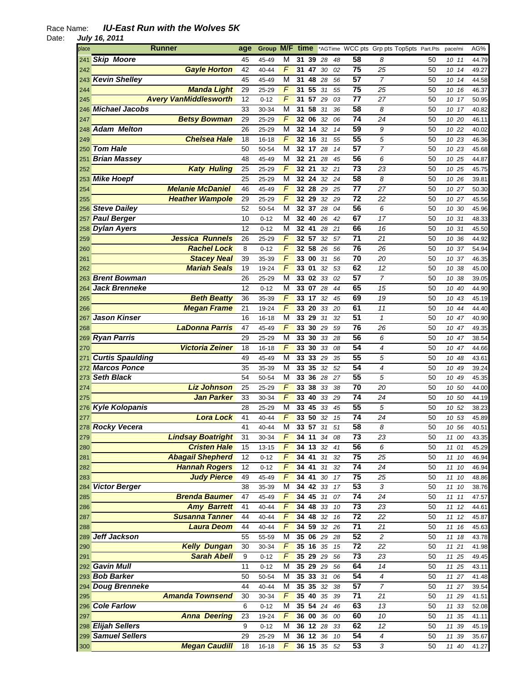| place | Runner                       | age      | Group M/F time |                |                 |    |        |    |                 | *AGTime WCC pts Grp pts Top5pts Part.Pts |    | pace/mi  | AG%   |
|-------|------------------------------|----------|----------------|----------------|-----------------|----|--------|----|-----------------|------------------------------------------|----|----------|-------|
| 241   | <b>Skip Moore</b>            | 45       | 45-49          | М              | 31              | 39 | 28     | 48 | 58              | 8                                        | 50 | 10 11    | 44.79 |
| 242   | <b>Gayle Horton</b>          | 42       | 40-44          | F              | 31              | 47 | 30     | 02 | 75              | 25                                       | 50 | 10 14    | 49.27 |
|       | 243 Kevin Shelley            | 45       | 45-49          | M              | 31              | 48 | 28     | 56 | 57              | $\overline{7}$                           | 50 | 10 14    | 44.58 |
| 244   | <b>Manda Light</b>           | 29       | 25-29          | $\sqrt{ }$     | 31 55           |    | 31     | 55 | 75              | 25                                       | 50 | 10 16    | 46.37 |
| 245   | <b>Avery VanMiddlesworth</b> | 12       | $0 - 12$       | F              | 31 57 29        |    |        | 03 | 77              | 27                                       | 50 | 10 17    | 50.95 |
| 246   | <b>Michael Jacobs</b>        | 33       | 30-34          | M              | 31              | 58 | 31     | 36 | 58              | 8                                        | 50 | 10 17    | 40.82 |
| 247   | <b>Betsy Bowman</b>          | 29       | 25-29          | F              | 32 06           |    | 32     | 06 | 74              | 24                                       | 50 | 10 20    | 46.11 |
|       | <b>Adam Melton</b>           | 26       | 25-29          | M              | 32 14           |    | 32     | 14 | 59              | 9                                        | 50 | 10 22    | 40.02 |
| 248   | <b>Chelsea Hale</b>          |          |                | F              |                 |    |        |    | 55              |                                          |    |          |       |
| 249   |                              | 18       | 16-18          |                | 32 16           |    | 31     | 55 |                 | 5                                        | 50 | 10 23    | 46.36 |
| 250   | <b>Tom Hale</b>              | 50       | 50-54          | М              | 32 17 28        |    |        | 14 | 57              | 7                                        | 50 | 10 23    | 45.68 |
| 251   | <b>Brian Massey</b>          | 48       | 45-49          | М              | 32 21           |    | 28     | 45 | 56              | 6                                        | 50 | 10 25    | 44.87 |
| 252   | <b>Katy Huling</b>           | 25       | 25-29          | F              | 32 21           |    | 32     | 21 | $\overline{73}$ | 23                                       | 50 | 10 25    | 45.75 |
|       | 253 Mike Hoepf               | 25       | 25-29          | М              | 32 24           |    | 32     | 24 | 58              | 8                                        | 50 | 10 26    | 39.81 |
| 254   | <b>Melanie McDaniel</b>      | 46       | 45-49          | F              | 32 28           |    | 29     | 25 | 77              | 27                                       | 50 | 10 27    | 50.30 |
| 255   | <b>Heather Wampole</b>       | 29       | 25-29          | $\overline{F}$ | 32              | 29 | 32     | 29 | 72              | 22                                       | 50 | 10 27    | 45.56 |
|       | 256 Steve Dailey             | 52       | 50-54          | М              | 32 37           |    | 28     | 04 | 56              | 6                                        | 50 | 10<br>30 | 45.96 |
|       | 257 Paul Berger              | 10       | $0 - 12$       | М              | 32 40           |    | 26     | 42 | 67              | 17                                       | 50 | 10 31    | 48.33 |
|       | 258 Dylan Ayers              | 12       | $0 - 12$       | М              | 32 41           |    | 28     | 21 | 66              | 16                                       | 50 | 10 31    | 45.50 |
| 259   | <b>Jessica Runnels</b>       | 26       | 25-29          | F              | 32 57           |    | 32     | 57 | 71              | 21                                       | 50 | 10 36    | 44.92 |
| 260   | <b>Rachel Lock</b>           | 8        | $0 - 12$       | F              | 32 58           |    | 26     | 56 | 76              | 26                                       | 50 | 10 37    | 54.94 |
| 261   | <b>Stacey Neal</b>           | 39       | 35-39          | F              | 33 00           |    | 31     | 56 | 70              | 20                                       | 50 | 10 37    | 46.35 |
| 262   | <b>Mariah Seals</b>          | 19       | 19-24          | F              | 33 01           |    | 32     | 53 | 62              | 12                                       | 50 | 10 38    | 45.00 |
|       | 263 Brent Bowman             | 26       | 25-29          | М              | <b>33 02 33</b> |    |        | 02 | 57              | $\overline{7}$                           | 50 | 10 38    | 39.05 |
| 264   | <b>Jack Brenneke</b>         | 12       | $0 - 12$       | М              | 33 07 28        |    |        | 44 | 65              | 15                                       | 50 | 10 40    | 44.90 |
| 265   | <b>Beth Beatty</b>           | 36       | 35-39          | F              | 33              | 17 | 32     | 45 | 69              | 19                                       | 50 | 10 43    | 45.19 |
| 266   | <b>Megan Frame</b>           | 21       | 19-24          | F              | 33 20           |    | 33     | 20 | 61              | 11                                       | 50 | 10 44    | 44.40 |
| 267   | <b>Jason Kinser</b>          | 16       | 16-18          | M              | 33 29           |    | 31     | 32 | 51              | $\mathbf{1}$                             | 50 | 10 47    | 40.90 |
| 268   | <b>LaDonna Parris</b>        | 47       | 45-49          | F              | 33              | 30 | 29     | 59 | 76              | 26                                       | 50 | 10<br>47 | 49.35 |
|       | 269 Ryan Parris              | 29       | 25-29          | М              | 33 30           |    | 33     | 28 | 56              | 6                                        | 50 | 10 47    | 38.54 |
| 270   | <b>Victoria Zeiner</b>       | 18       | 16-18          | F              | 33 30           |    | 33     | 08 | 54              | 4                                        | 50 | 10 47    | 44.66 |
|       | <b>Curtis Spaulding</b>      | 49       |                | M              | 33 33           |    | 29     | 35 | 55              | 5                                        | 50 |          |       |
| 271   | <b>Marcos Ponce</b>          |          | 45-49          | M              |                 |    |        |    | 54              | 4                                        |    | 10 48    | 43.61 |
| 272   | 273 Seth Black               | 35<br>54 | 35-39          | M              | 33 35<br>33 36  |    | 32     | 52 | 55              |                                          | 50 | 10 49    | 39.24 |
|       |                              |          | 50-54          | F              |                 |    | 28     | 27 | 70              | 5                                        | 50 | 10<br>49 | 45.35 |
| 274   | <b>Liz Johnson</b>           | 25       | 25-29          |                | 33              | 38 | 33     | 38 |                 | 20                                       | 50 | 50<br>10 | 44.00 |
| 275   | <b>Jan Parker</b>            | 33       | 30-34          | F              | 33 40           |    | 33     | 29 | 74              | 24                                       | 50 | 10 50    | 44.19 |
|       | 276 Kyle Kolopanis           | 28       | 25-29          | М              | 33 45           |    | 33     | 45 | 55              | 5                                        | 50 | 10 52    | 38.23 |
| 277   | <b>Lora Lock</b>             | 41       | 40-44          | F              | 33              | 50 | 32     | 15 | $\overline{74}$ | 24                                       | 50 | 53<br>10 | 45.89 |
|       | 278 Rocky Vecera             | 41       | 40-44          | M              | 33 57           |    | 31     | 51 | $\overline{58}$ | 8                                        | 50 | 10 56    | 40.51 |
| 279   | <b>Lindsay Boatright</b>     | 31       | 30-34          | F              | 34 11           |    | 34     | 08 | 73              | 23                                       | 50 | 11 00    | 43.35 |
| 280   | <b>Cristen Hale</b>          | 15       | $13 - 15$      | F              | 34 13 32        |    |        | 41 | $\overline{56}$ | 6                                        | 50 | 11 01    | 45.29 |
| 281   | <b>Abagail Shepherd</b>      | 12       | $0 - 12$       | $\overline{F}$ | 34 41 31        |    |        | 32 | 75              | 25                                       | 50 | 11 10    | 46.94 |
| 282   | <b>Hannah Rogers</b>         | 12       | $0 - 12$       | $\overline{F}$ | 34 41           |    | 31     | 32 | 74              | 24                                       | 50 | 11 10    | 46.94 |
| 283   | <b>Judy Pierce</b>           | 49       | 45-49          | F              | 34 41           |    | $30\,$ | 17 | 75              | 25                                       | 50 | 11 10    | 48.86 |
| 284   | <b>Victor Berger</b>         | 38       | 35-39          | М              | 34 42 33        |    |        | 17 | 53              | 3                                        | 50 | 11 10    | 38.76 |
| 285   | <b>Brenda Baumer</b>         | 47       | 45-49          | F              | 34 45 31        |    |        | 07 | 74              | 24                                       | 50 | 11<br>11 | 47.57 |
| 286   | <b>Amy Barrett</b>           | 41       | 40-44          | F              | 34 48 33        |    |        | 10 | 73              | 23                                       | 50 | 11 12    | 44.61 |
| 287   | <b>Susanna Tanner</b>        | 44       | $40 - 44$      | F              | 34 48           |    | 32     | 16 | 72              | 22                                       | 50 | 11 12    | 45.87 |
| 288   | <b>Laura Deom</b>            | 44       | 40-44          | F              | 34 59 32        |    |        | 26 | $\overline{71}$ | 21                                       | 50 | 11 16    | 45.63 |
| 289   | Jeff Jackson                 | 55       | 55-59          | M              | 35 06 29        |    |        | 28 | 52              | 2                                        | 50 | 11 18    | 43.78 |
| 290   | <b>Kelly Dungan</b>          | 30       | 30-34          | F              | 35 16 35        |    |        | 15 | $\overline{72}$ | $\overline{22}$                          | 50 | 11 21    | 41.98 |
| 291   | <b>Sarah Abell</b>           | 9        | $0 - 12$       | F              | 35 29 29        |    |        | 56 | $\overline{73}$ | 23                                       | 50 | 11 25    | 49.45 |
|       | 292 Gavin Mull               | 11       | $0 - 12$       | M              | 35 29 29        |    |        | 56 | 64              | 14                                       | 50 | 11 25    | 43.11 |
|       | 293 Bob Barker               | 50       | 50-54          | M              | 35 33           |    | 31     | 06 | $\overline{54}$ | $\overline{\mathcal{A}}$                 | 50 | 11 27    | 41.48 |
|       | 294 Doug Brenneke            | 44       | 40-44          | M              | 35 35           |    | 32     | 38 | 57              | $\overline{7}$                           | 50 | 11 27    | 39.54 |
| 295   | <b>Amanda Townsend</b>       | 30       | 30-34          | F              | 35 40 35        |    |        | 39 | 71              | 21                                       | 50 | 11 29    | 41.51 |
|       | 296 Cole Farlow              | 6        | $0 - 12$       | M              | 35 54 24        |    |        | 46 | 63              | 13                                       | 50 | 11<br>33 | 52.08 |
| 297   | <b>Anna Deering</b>          | 23       | 19-24          | F              | 36 00 36        |    |        | 00 | 60              | 10                                       | 50 | 11<br>35 | 41.11 |
|       | 298 Elijah Sellers           | 9        | $0 - 12$       | M              | 36 12 28        |    |        | 33 | 62              | 12                                       | 50 | 11<br>39 | 45.19 |
|       | 299 Samuel Sellers           | 29       | 25-29          | M              | 36 12 36        |    |        | 10 | 54              | $\boldsymbol{4}$                         | 50 | 11<br>39 | 35.67 |
| 300   | <b>Megan Caudill</b>         | 18       | $16 - 18$      | F              | 36 15 35        |    |        | 52 | 53              | 3                                        | 50 | 11 40    | 41.27 |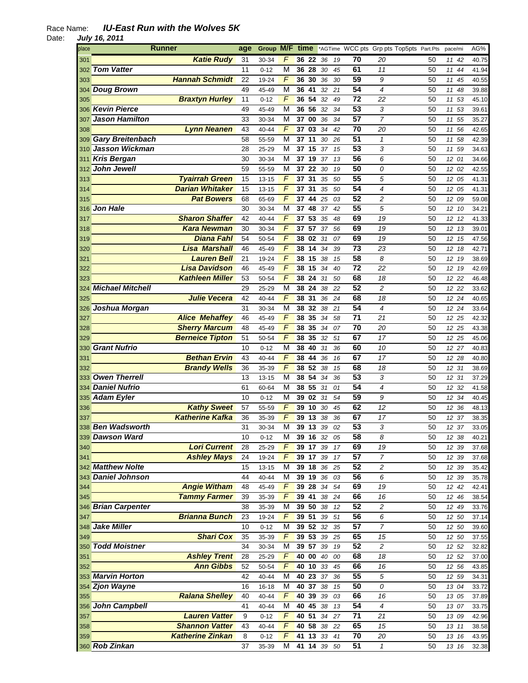| place | Runner                  | age | Group M/F time |                |          |    |        |    |                 | *AGTime WCC pts Grp pts Top5pts Part.Pts |    | pace/mi |       | AG%   |
|-------|-------------------------|-----|----------------|----------------|----------|----|--------|----|-----------------|------------------------------------------|----|---------|-------|-------|
| 301   | <b>Katie Rudy</b>       | 31  | 30-34          | F              | 36 22    |    | -36    | 19 | 70              | 20                                       | 50 | 11      | 42    | 40.75 |
| 302   | <b>Tom Vatter</b>       | 11  | $0 - 12$       | M              | 36 28    |    | 30     | 45 | 61              | 11                                       | 50 | 11      | 44    | 41.94 |
| 303   | <b>Hannah Schmidt</b>   | 22  | 19-24          | F              | 36       | 30 | 36     | 30 | 59              | 9                                        | 50 | 11      | 45    | 40.55 |
| 304   | <b>Doug Brown</b>       | 49  | 45-49          | M              | 36 41    |    | 32     | 21 | 54              | 4                                        | 50 |         | 11 48 | 39.88 |
| 305   | <b>Braxtyn Hurley</b>   | 11  | $0 - 12$       | $\sqrt{2}$     | 36 54    |    | 32     | 49 | 72              | 22                                       | 50 |         | 11 53 | 45.10 |
| 306   | <b>Kevin Pierce</b>     | 49  | 45-49          | M              | 36 56    |    | 32     | 34 | 53              | 3                                        | 50 | 11      | 53    | 39.61 |
|       | <b>Jason Hamilton</b>   | 33  | 30-34          | M              | 37       | 00 | 36     | 34 | 57              | $\overline{7}$                           | 50 |         | 55    | 35.27 |
| 307   |                         | 43  |                | F              | 37 03    |    | 34     |    | 70              |                                          | 50 | 11      |       |       |
| 308   | <b>Lynn Neanen</b>      |     | 40-44          |                |          |    |        | 42 |                 | 20                                       |    | 11      | 56    | 42.65 |
| 309   | <b>Gary Breitenbach</b> | 58  | 55-59          | M              | 37 11    |    | 30     | 26 | 51              | $\mathbf{1}$                             | 50 | 11      | 58    | 42.39 |
| 310   | <b>Jasson Wickman</b>   | 28  | 25-29          | М              | 37 15    |    | 37     | 15 | 53              | 3                                        | 50 |         | 11 59 | 34.63 |
| 311   | <b>Kris Bergan</b>      | 30  | 30-34          | М              | 37 19 37 |    |        | 13 | 56              | 6                                        | 50 |         | 12 01 | 34.66 |
| 312   | John Jewell             | 59  | 55-59          | M              | 37       | 22 | 30     | 19 | 50              | 0                                        | 50 |         | 12 02 | 42.55 |
| 313   | <b>Tyairrah Green</b>   | 15  | 13-15          | F              | 37 31    |    | 35     | 50 | 55              | 5                                        | 50 |         | 12 05 | 41.31 |
| 314   | <b>Darian Whitaker</b>  | 15  | 13-15          | F              | 37       | 31 | 35     | 50 | 54              | $\overline{4}$                           | 50 |         | 12 05 | 41.31 |
| 315   | <b>Pat Bowers</b>       | 68  | 65-69          | $\overline{F}$ | 37       | 44 | 25     | 03 | 52              | $\overline{c}$                           | 50 | 12      | 09    | 59.08 |
| 316   | <b>Jon Hale</b>         | 30  | 30-34          | M              | 37 48    |    | 37     | 42 | 55              | 5                                        | 50 |         | 12 10 | 34.21 |
| 317   | <b>Sharon Shaffer</b>   | 42  | 40-44          | F              | 37 53    |    | 35     | 48 | 69              | 19                                       | 50 |         | 12 12 | 41.33 |
| 318   | <b>Kara Newman</b>      | 30  | 30-34          | F              | 37 57    |    | 37     | 56 | 69              | 19                                       | 50 |         | 12 13 | 39.01 |
| 319   | <b>Diana Fahl</b>       | 54  | 50-54          | F              | 38 02    |    | 31     | 07 | 69              | 19                                       | 50 |         | 12 15 | 47.56 |
| 320   | <b>Lisa Marshall</b>    | 46  | 45-49          | F              | 38 14    |    | 34     | 39 | 73              | 23                                       | 50 | 12      | - 18  | 42.71 |
| 321   | <b>Lauren Bell</b>      | 21  | 19-24          | F              | 38 15    |    | 38     | 15 | 58              | 8                                        | 50 |         | 12 19 | 38.69 |
| 322   | <b>Lisa Davidson</b>    | 46  | 45-49          | F              | 38 15    |    | 34     | 40 | 72              | 22                                       | 50 |         | 12 19 | 42.69 |
| 323   | <b>Kathleen Miller</b>  | 53  | 50-54          | F              | 38 24    |    | 31     | 50 | 68              | 18                                       | 50 |         | 12 22 | 46.48 |
|       | 324 Michael Mitchell    | 29  | 25-29          | М              | 38 24    |    | -38    | 22 | 52              | $\overline{c}$                           | 50 |         | 12 22 | 33.62 |
|       | Julie Vecera            | 42  | 40-44          | F              | 38       | 31 | 36     | 24 | 68              | 18                                       | 50 |         | 12 24 |       |
| 325   |                         | 31  |                | M              | 38 32    |    |        |    | 54              | $\overline{4}$                           | 50 |         |       | 40.65 |
| 326   | Joshua Morgan           |     | 30-34          |                |          |    | 38     | 21 | 71              |                                          |    |         | 12 24 | 33.64 |
| 327   | <b>Alice Mehaffey</b>   | 46  | 45-49          | F              | 38 35    |    | 34     | 58 |                 | 21                                       | 50 |         | 12 25 | 42.32 |
| 328   | <b>Sherry Marcum</b>    | 48  | 45-49          | $\overline{F}$ | 38       | 35 | 34     | 07 | 70              | 20                                       | 50 |         | 12 25 | 43.38 |
| 329   | <b>Berneice Tipton</b>  | 51  | 50-54          | $\overline{F}$ | 38       | 35 | 32     | 51 | 67              | 17                                       | 50 |         | 12 25 | 45.06 |
| 330   | <b>Grant Nufrio</b>     | 10  | $0 - 12$       | M              | 38 40    |    | 31     | 36 | 60              | 10                                       | 50 |         | 12 27 | 40.83 |
| 331   | <b>Bethan Ervin</b>     | 43  | 40-44          | F              | 38 44    |    | 36     | 16 | 67              | 17                                       | 50 |         | 12 28 | 40.80 |
| 332   | <b>Brandy Wells</b>     | 36  | 35-39          | F              | 38 52    |    | 38     | 15 | 68              | 18                                       | 50 |         | 12 31 | 38.69 |
| 333   | <b>Owen Therrell</b>    | 13  | 13-15          | M              | 38 54    |    | 34     | 36 | 53              | 3                                        | 50 | 12      | 31    | 37.29 |
|       | 334 Daniel Nufrio       | 61  | 60-64          | M              | 38 55    |    | 31     | 01 | 54              | 4                                        | 50 | 12      | 32    | 41.58 |
|       | 335 Adam Eyler          | 10  | $0 - 12$       | М              | 39 02    |    | 31     | 54 | 59              | 9                                        | 50 |         | 12 34 | 40.45 |
| 336   | <b>Kathy Sweet</b>      | 57  | 55-59          | F              | 39 10    |    | -30    | 45 | 62              | 12                                       | 50 |         | 12 36 | 48.13 |
| 337   | <b>Katherine Kafka</b>  | 36  | 35-39          | F              | 39       | 13 | 38     | 36 | 67              | 17                                       | 50 | 12      | 37    | 38.35 |
|       | 338 Ben Wadsworth       | 31  | 30-34          | M              | 39 13    |    | 39     | 02 | $\overline{53}$ | 3                                        | 50 |         | 12 37 | 33.05 |
|       | 339 Dawson Ward         | 10  | $0 - 12$       | М              | 39 16 32 |    |        | 05 | 58              | 8                                        | 50 |         | 12 38 | 40.21 |
| 340   | <b>Lori Current</b>     | 28  | 25-29          | F              | 39 17    |    | 39     | 17 | 69              | 19                                       | 50 |         | 12 39 | 37.68 |
| 341   | <b>Ashley Mays</b>      | 24  | 19-24          | $\overline{F}$ | 39 17    |    | 39     | 17 | 57              | $\boldsymbol{7}$                         | 50 |         | 12 39 | 37.68 |
|       | 342 Matthew Nolte       | 15  | $13 - 15$      | М              | 39 18    |    | 36     | 25 | 52              | $\overline{c}$                           | 50 |         | 12 39 | 35.42 |
|       | 343 Daniel Johnson      | 44  | 40-44          | M              | 39 19    |    | 36     | 03 | 56              | 6                                        | 50 |         | 12 39 | 35.78 |
| 344   | <b>Angie Witham</b>     | 48  | 45-49          | F              | 39 28    |    | $34\,$ | 54 | 69              | 19                                       | 50 |         | 12 42 | 42.41 |
| 345   | <b>Tammy Farmer</b>     | 39  | 35-39          | F              | 39 41    |    | 38     | 24 | 66              | 16                                       | 50 |         | 12 46 | 38.54 |
|       | 346 Brian Carpenter     | 38  | 35-39          | M              | 39 50    |    | 38     | 12 | 52              | $\overline{\mathbf{c}}$                  | 50 |         | 12 49 | 33.76 |
| 347   | <b>Brianna Bunch</b>    | 23  | 19-24          | F              | 3951     |    | 39     | 51 | 56              | 6                                        | 50 |         | 12 50 | 37.14 |
| 348   | <b>Jake Miller</b>      | 10  | $0 - 12$       | М              | 39 52 32 |    |        | 35 | 57              | $\overline{7}$                           | 50 |         | 12 50 | 39.60 |
| 349   | <b>Shari Cox</b>        | 35  | 35-39          | F              | 39 53 39 |    |        | 25 | 65              | 15                                       | 50 |         | 12 50 | 37.55 |
|       | 350 Todd Moistner       | 34  | 30-34          | М              | 39 57    |    | 39     | 19 | 52              | $\boldsymbol{2}$                         | 50 |         | 12 52 | 32.82 |
| 351   | <b>Ashley Trent</b>     | 28  | 25-29          | F              | 40 00    |    | 40     | 00 | 68              | 18                                       | 50 |         | 12 52 | 37.00 |
| 352   | <b>Ann Gibbs</b>        | 52  | 50-54          | $\overline{F}$ | 40 10 33 |    |        | 45 | 66              | 16                                       | 50 |         | 12 56 | 43.85 |
|       | 353 Marvin Horton       | 42  | 40-44          | M              | 40 23    |    | 37     | 36 | $\overline{55}$ | 5                                        | 50 |         | 12 59 | 34.31 |
|       | 354 Zjon Wayne          | 16  | $16 - 18$      | M              | 40 37    |    | 38     | 15 | 50              | 0                                        | 50 |         |       |       |
| 355   | <b>Ralana Shelley</b>   | 40  |                | $\overline{F}$ | 40 39    |    | 39     | 03 | 66              | 16                                       |    |         | 13 04 | 33.72 |
|       | 356 John Campbell       |     | 40-44          |                |          |    |        |    |                 |                                          | 50 |         | 13 05 | 37.89 |
|       |                         | 41  | 40-44          | M              | 40 45    |    | 38     | 13 | 54              | $\overline{\mathcal{A}}$                 | 50 |         | 13 07 | 33.75 |
| 357   | <b>Lauren Vatter</b>    | 9   | $0 - 12$       | F              | 40 51    |    | 34     | 27 | $\overline{71}$ | 21                                       | 50 |         | 13 09 | 42.96 |
| 358   | <b>Shannon Vatter</b>   | 43  | 40-44          | F              | 40 58    |    | 38     | 22 | 65              | 15                                       | 50 |         | 13 11 | 38.58 |
| 359   | <b>Katherine Zinkan</b> | 8   | $0 - 12$       | F              | 41 13    |    | 33     | 41 | 70              | 20                                       | 50 |         | 13 16 | 43.95 |
|       | 360 Rob Zinkan          | 37  | 35-39          | М              | 41 14 39 |    |        | 50 | 51              | $\mathbf{1}$                             | 50 |         | 13 16 | 32.38 |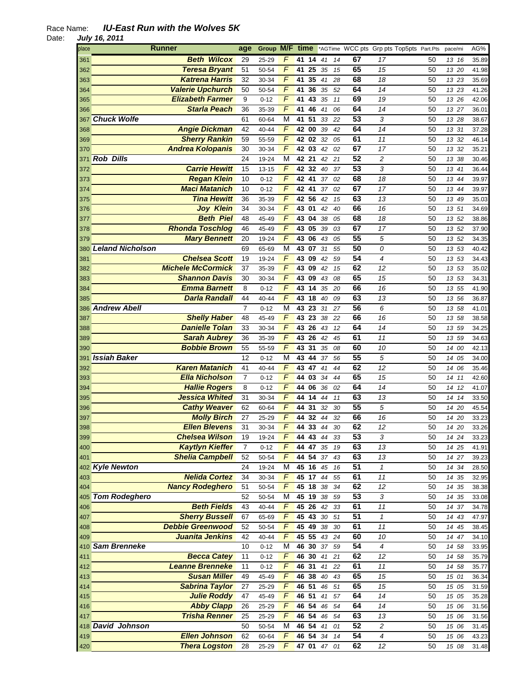| place | <b>Runner</b>            | age            | Group M/F time |                |       |                                  |          |    | *AGTime WCC pts Grp pts Top5pts Part.Pts |    | pace/mi | AG%            |
|-------|--------------------------|----------------|----------------|----------------|-------|----------------------------------|----------|----|------------------------------------------|----|---------|----------------|
| 361   | <b>Beth Wilcox</b>       | 29             | 25-29          | F              | 41 14 | 41                               | 14       | 67 | 17                                       | 50 | 13 16   | 35.89          |
| 362   | <b>Teresa Bryant</b>     | 51             | 50-54          | F              | 41    | 25<br>35                         | 15       | 65 | 15                                       | 50 | 13 20   | 41.98          |
| 363   | <b>Katrena Harris</b>    | 32             | 30-34          | $\overline{F}$ | 41    | 35<br>41                         | 28       | 68 | 18                                       | 50 | 13 23   | 35.69          |
| 364   | <b>Valerie Upchurch</b>  | 50             | 50-54          | $\overline{F}$ | 41    | 36<br>35                         | 52       | 64 | 14                                       | 50 | 13 23   | 41.26          |
| 365   | <b>Elizabeth Farmer</b>  | 9              | $0 - 12$       | $\overline{F}$ | 41 43 | 35                               | 11       | 69 | 19                                       | 50 | 13 26   | 42.06          |
| 366   | <b>Starla Peach</b>      | 36             | 35-39          | F              | 41 46 | 41                               | 06       | 64 | 14                                       | 50 | 13 27   | 36.01          |
| 367   | <b>Chuck Wolfe</b>       | 61             | 60-64          | M              | 41 51 |                                  | 33<br>22 | 53 | 3                                        | 50 | 13 28   | 38.67          |
| 368   | <b>Angie Dickman</b>     | 42             | 40-44          | F              | 42 00 | 39                               | 42       | 64 | 14                                       | 50 | 13 31   | 37.28          |
| 369   | <b>Sherry Rankin</b>     | 59             | 55-59          | F              | 42 02 | 32                               | 05       | 61 | 11                                       | 50 | 13 32   | 46.14          |
| 370   | <b>Andrea Kolopanis</b>  | 30             | 30-34          | F              | 42 03 | 42                               | 02       | 67 | 17                                       | 50 | 13 32   | 35.21          |
| 371   | <b>Rob Dills</b>         | 24             | 19-24          | M              | 42 21 | 42                               | 21       | 52 | $\overline{\mathbf{c}}$                  | 50 | 13 38   | 30.46          |
| 372   | <b>Carrie Hewitt</b>     | 15             | $13 - 15$      | F              | 42 32 | 40                               | 37       | 53 | 3                                        | 50 | 13 41   | 36.44          |
| 373   | <b>Regan Klein</b>       | 10             | $0 - 12$       | F              | 42 41 | 37                               | 02       | 68 | 18                                       | 50 | 13 44   | 39.97          |
|       | <b>Maci Matanich</b>     | 10             | $0 - 12$       | F              | 42 41 | 37                               | 02       | 67 | 17                                       | 50 | 13 44   |                |
| 374   | <b>Tina Hewitt</b>       | 36             | 35-39          | F              | 42 56 | 42                               | 15       | 63 | 13                                       | 50 | 13 49   | 39.97<br>35.03 |
| 375   |                          |                |                | $\overline{F}$ |       |                                  |          | 66 | 16                                       |    |         |                |
| 376   | <b>Joy Klein</b>         | 34             | 30-34          |                | 43 01 | 42                               | 40       |    |                                          | 50 | 13 51   | 34.69          |
| 377   | <b>Beth Piel</b>         | 48             | 45-49          | F              | 43 04 | 38                               | 05       | 68 | 18                                       | 50 | 13 52   | 38.86          |
| 378   | <b>Rhonda Toschlog</b>   | 46             | 45-49          | F              | 43 05 | 39                               | 03       | 67 | 17                                       | 50 | 13 52   | 37.90          |
| 379   | <b>Mary Bennett</b>      | 20             | 19-24          | $\overline{F}$ | 4306  | 43                               | 05       | 55 | 5                                        | 50 | 13 52   | 34.35          |
|       | 380 Leland Nicholson     | 69             | 65-69          | M              | 43 07 | 31                               | 55       | 50 | 0                                        | 50 | 13 53   | 40.42          |
| 381   | <b>Chelsea Scott</b>     | 19             | 19-24          | F              | 43 09 | 42                               | 59       | 54 | 4                                        | 50 | 13 53   | 34.43          |
| 382   | <b>Michele McCormick</b> | 37             | 35-39          | F              | 43 09 | 42                               | 15       | 62 | 12                                       | 50 | 13 53   | 35.02          |
| 383   | <b>Shannon Davis</b>     | 30             | 30-34          | F              | 43 09 |                                  | 43<br>08 | 65 | 15                                       | 50 | 13 53   | 34.31          |
| 384   | <b>Emma Barnett</b>      | 8              | $0 - 12$       | $\overline{F}$ | 43 14 | 35                               | 20       | 66 | 16                                       | 50 | 13 55   | 41.90          |
| 385   | <b>Darla Randall</b>     | 44             | 40-44          | $\overline{F}$ | 43 18 | 40                               | 09       | 63 | 13                                       | 50 | 13 56   | 36.87          |
|       | 386 Andrew Abell         | $\overline{7}$ | $0 - 12$       | M              | 43 23 | 31                               | 27       | 56 | 6                                        | 50 | 13 58   | 41.01          |
| 387   | <b>Shelly Haber</b>      | 48             | 45-49          | F              | 43    | 23<br>38                         | 22       | 66 | 16                                       | 50 | 13 58   | 38.58          |
| 388   | <b>Danielle Tolan</b>    | 33             | 30-34          | F              | 43    | 26<br>43                         | 12       | 64 | 14                                       | 50 | 13 59   | 34.25          |
| 389   | <b>Sarah Aubrey</b>      | 36             | 35-39          | $\overline{F}$ | 43 26 | 42                               | 45       | 61 | 11                                       | 50 | 13 59   | 34.63          |
| 390   | <b>Bobbie Brown</b>      | 55             | 55-59          | $\overline{F}$ | 43 31 | 35                               | 08       | 60 | 10                                       | 50 | 14 00   | 42.13          |
| 391   | <b>Issiah Baker</b>      | 12             | $0 - 12$       | M              | 43 44 | 37                               | 56       | 55 | 5                                        | 50 | 14 05   | 34.00          |
| 392   | <b>Karen Matanich</b>    | 41             | 40-44          | F              | 43 47 | 41                               | 44       | 62 | 12                                       | 50 | 14 06   | 35.46          |
| 393   | <b>Ella Nicholson</b>    | $\overline{7}$ | $0 - 12$       | F              | 44 03 |                                  | 34<br>44 | 65 | 15                                       | 50 | 14 11   | 42.60          |
| 394   | <b>Hallie Rogers</b>     | 8              | $0 - 12$       | F              | 44 06 | 36                               | 02       | 64 | 14                                       | 50 | 14 12   | 41.07          |
| 395   | <b>Jessica Whited</b>    | 31             | 30-34          | F              | 44 14 | 44                               | 11       | 63 | 13                                       | 50 | 14 14   | 33.50          |
| 396   | <b>Cathy Weaver</b>      | 62             | 60-64          | F              | 44 31 | 32                               | 30       | 55 | 5                                        | 50 | 14 20   | 45.54          |
| 397   | <b>Molly Birch</b>       | 27             | 25-29          | $\overline{F}$ | 44    | 32<br>44                         | 32       | 66 | 16                                       | 50 | 14 20   | 33.23          |
| 398   | <b>Ellen Blevens</b>     | 31             | 30-34          | F              |       | $44 \overline{33} \overline{44}$ | 30       | 62 | 12                                       | 50 | 14 20   | 33.26          |
| 399   | <b>Chelsea Wilson</b>    | 19             | 19-24          | F              | 44 43 | 44                               | 33       | 53 | 3                                        | 50 | 14 24   | 33.23          |
| 400   | <b>Kaytlyn Kieffer</b>   | $\overline{7}$ | $0 - 12$       | F              | 44 47 | 35                               | 19       | 63 | 13                                       | 50 | 14 25   | 41.91          |
| 401   | <b>Shelia Campbell</b>   | 52             | 50-54          | $\overline{F}$ | 44 54 | 37                               | 43       | 63 | 13                                       | 50 | 14 27   | 39.23          |
|       | 402 Kyle Newton          | 24             | 19-24          | M              | 45 16 | 45                               | 16       | 51 | $\mathbf{1}$                             | 50 | 14 34   | 28.50          |
| 403   | <b>Nelida Cortez</b>     | 34             | 30-34          | $\overline{F}$ | 45 17 | 44                               | 55       | 61 | 11                                       | 50 | 14 35   | 32.95          |
| 404   | <b>Nancy Rodeghero</b>   | 51             | 50-54          | F              | 45 18 | 38                               | 34       | 62 | 12                                       | 50 | 14 35   | 38.38          |
|       | 405 Tom Rodeghero        | 52             | 50-54          | М              | 45 19 | 38                               | 59       | 53 | 3                                        | 50 | 14 35   | 33.08          |
| 406   | <b>Beth Fields</b>       | 43             | 40-44          | F              | 45 26 | 42                               | 33       | 61 | 11                                       | 50 | 14 37   | 34.78          |
| 407   | <b>Sherry Bussell</b>    | 67             | 65-69          | F              | 45 43 | $30\,$                           | 51       | 51 | $\boldsymbol{\mathcal{I}}$               | 50 | 14 43   | 47.97          |
| 408   | <b>Debbie Greenwood</b>  | 52             | 50-54          | F              | 45 49 | 38                               | 30       | 61 | 11                                       | 50 | 14 45   | 38.45          |
| 409   | Juanita Jenkins          | 42             | 40-44          | F              |       | 45 55 43                         | 24       | 60 | 10                                       | 50 | 14 47   | 34.10          |
|       | 410 Sam Brenneke         | 10             | $0 - 12$       | M              |       | 46 30 37                         | 59       | 54 | $\overline{\mathcal{A}}$                 | 50 | 14 58   | 33.95          |
| 411   | <b>Becca Catey</b>       | 11             | $0 - 12$       | F              |       | 46 30 41                         | 21       | 62 | 12                                       | 50 | 14 58   | 35.79          |
| 412   | <b>Leanne Brenneke</b>   | 11             | $0 - 12$       | $\overline{F}$ | 46 31 | 41                               | 22       | 61 | 11                                       | 50 | 14 58   | 35.77          |
| 413   | <b>Susan Miller</b>      | 49             | 45-49          | $\overline{F}$ | 46 38 | 40                               | 43       | 65 | 15                                       | 50 | 15 01   | 36.34          |
| 414   | <b>Sabrina Taylor</b>    | 27             | 25-29          | $\overline{F}$ | 46 51 | 46                               | 51       | 65 | 15                                       | 50 |         |                |
| 415   | <b>Julie Roddy</b>       | 47             |                | F              | 46 51 | 41                               | 57       | 64 | 14                                       | 50 | 15 05   | 31.59          |
| 416   | <b>Abby Clapp</b>        | 26             | 45-49          | F              | 46 54 |                                  | 46<br>54 | 64 | 14                                       | 50 | 15 05   | 35.28          |
|       |                          |                | 25-29          |                |       |                                  |          |    |                                          |    | 15 06   | 31.56          |
| 417   | <b>Trisha Renner</b>     | 25             | 25-29          | F              | 46 54 | 46                               | 54       | 63 | 13                                       | 50 | 15 06   | 31.56          |
|       | 418 David Johnson        | 50             | 50-54          | M              | 46 54 | 41                               | 01       | 52 | $\overline{c}$                           | 50 | 15 06   | 31.45          |
| 419   | <b>Ellen Johnson</b>     | 62             | 60-64          | F              | 46 54 | 34                               | 14       | 54 | 4                                        | 50 | 15 06   | 43.23          |
| 420   | <b>Thera Logston</b>     | 28             | 25-29          | F              |       | 47 01 47                         | 01       | 62 | 12                                       | 50 | 15 08   | 31.48          |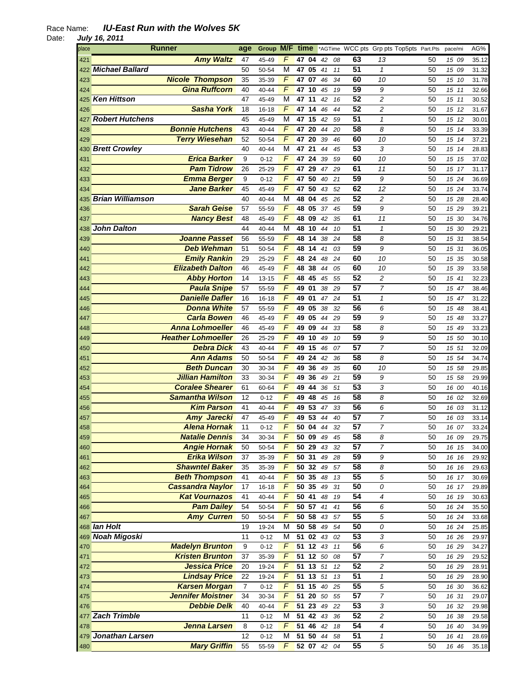| place | <b>Runner</b>             | age            | Group M/F |                | time             |    |    |    |                 | *AGTime WCC pts Grp pts Top5pts Part.Pts |    | pace/mi |    | AG%   |
|-------|---------------------------|----------------|-----------|----------------|------------------|----|----|----|-----------------|------------------------------------------|----|---------|----|-------|
| 421   | <b>Amy Waltz</b>          | 47             | 45-49     | F              | 47 04            |    | 42 | 08 | 63              | 13                                       | 50 | 15 09   |    | 35.12 |
|       | 422 Michael Ballard       | 50             | 50-54     | M              | 47               | 05 | 41 | 11 | $\overline{51}$ | $\mathbf{1}$                             | 50 | 15 09   |    | 31.32 |
| 423   | <b>Nicole Thompson</b>    | 35             | 35-39     | $\sqrt{ }$     | 47 07 46         |    |    | 34 | 60              | 10                                       | 50 | 15 10   |    | 31.78 |
| 424   | <b>Gina Ruffcorn</b>      | 40             | 40-44     | F              | 47 10            |    | 45 | 19 | 59              | 9                                        | 50 | 15 11   |    | 32.66 |
| 425   | <b>Ken Hittson</b>        | 47             | 45-49     | M              | 47 11            |    | 42 | 16 | 52              | $\overline{c}$                           | 50 | 15 11   |    | 30.52 |
| 426   | <b>Sasha York</b>         | 18             | $16 - 18$ | $\sqrt{ }$     | 47 14            |    | 46 | 44 | 52              | $\overline{c}$                           | 50 | 15 12   |    | 31.67 |
| 427   | <b>Robert Hutchens</b>    | 45             | 45-49     | М              | 47 15            |    | 42 | 59 | 51              | $\mathbf{1}$                             | 50 | 15 12   |    | 30.01 |
| 428   | <b>Bonnie Hutchens</b>    | 43             | 40-44     | F              | 47 20            |    | 44 | 20 | 58              | 8                                        | 50 | 15 14   |    | 33.39 |
| 429   | <b>Terry Wiesehan</b>     | 52             | 50-54     | F              | 47 20            |    | 39 | 46 | 60              | 10                                       | 50 | 15 14   |    | 37.21 |
|       |                           |                |           | M              | 47 21            |    |    |    | 53              | 3                                        |    | 15 14   |    |       |
|       | 430 Brett Crowley         | 40             | 40-44     |                |                  |    | 44 | 45 |                 |                                          | 50 |         |    | 28.83 |
| 431   | <b>Erica Barker</b>       | 9              | $0 - 12$  | F              | 47 24            |    | 39 | 59 | 60              | 10                                       | 50 | 15 15   |    | 37.02 |
| 432   | <b>Pam Tidrow</b>         | 26             | 25-29     | F              | 47 29            |    | 47 | 29 | 61              | 11                                       | 50 | 15 17   |    | 31.17 |
| 433   | <b>Emma Berger</b>        | 9              | $0 - 12$  | F              | 47               | 50 | 40 | 21 | 59              | 9                                        | 50 | 15 24   |    | 36.69 |
| 434   | <b>Jane Barker</b>        | 45             | 45-49     | F              | 47               | 50 | 43 | 52 | 62              | 12                                       | 50 | 15 24   |    | 33.74 |
|       | 435 Brian Williamson      | 40             | 40-44     | M              | 48 04            |    | 45 | 26 | 52              | $\overline{c}$                           | 50 | 15 28   |    | 28.40 |
| 436   | <b>Sarah Geise</b>        | 57             | 55-59     | F              | 48 05            |    | 37 | 45 | 59              | 9                                        | 50 | 15 29   |    | 39.21 |
| 437   | <b>Nancy Best</b>         | 48             | 45-49     | F              | 48 09            |    | 42 | 35 | 61              | 11                                       | 50 | 15 30   |    | 34.76 |
| 438   | <b>John Dalton</b>        | 44             | 40-44     | M              | 48 10            |    | 44 | 10 | 51              | $\mathbf{1}$                             | 50 | 15 30   |    | 29.21 |
| 439   | <b>Joanne Passet</b>      | 56             | 55-59     | F              | 48 14            |    | 38 | 24 | 58              | 8                                        | 50 | 15 31   |    | 38.54 |
| 440   | <b>Deb Wehman</b>         | 51             | 50-54     | F              | 48 14            |    | 41 | 03 | 59              | 9                                        | 50 | 15 31   |    | 36.05 |
| 441   | <b>Emily Rankin</b>       | 29             | 25-29     | F              | 48 24            |    | 48 | 24 | 60              | 10                                       | 50 | 15 35   |    | 30.58 |
| 442   | <b>Elizabeth Dalton</b>   | 46             | 45-49     | F              | 48 38            |    | 44 | 05 | 60              | 10                                       | 50 | 15 39   |    | 33.58 |
| 443   | <b>Abby Horton</b>        | 14             | $13 - 15$ | $\sqrt{ }$     | 48 45            |    | 45 | 55 | 52              | $\overline{c}$                           | 50 | 15 41   |    | 32.23 |
| 444   | <b>Paula Snipe</b>        | 57             | 55-59     | F              | 49 01            |    | 38 | 29 | $\overline{57}$ | $\overline{7}$                           | 50 | 15 47   |    | 38.46 |
| 445   | <b>Danielle Dafler</b>    | 16             | 16-18     | $\overline{F}$ | 49 01            |    | 47 | 24 | $\overline{51}$ | $\mathbf{1}$                             | 50 | 15 47   |    | 31.22 |
| 446   | <b>Donna White</b>        | 57             | 55-59     | $\sqrt{2}$     | 49 05            |    | 38 | 32 | 56              | 6                                        | 50 | 15      | 48 | 38.41 |
| 447   | <b>Carla Bowen</b>        | 46             | 45-49     | $\overline{F}$ | 49 05            |    | 44 | 29 | 59              | 9                                        | 50 | 15      | 48 | 33.27 |
| 448   | <b>Anna Lohmoeller</b>    | 46             | 45-49     | $\overline{F}$ | 49 09            |    | 44 | 33 | 58              | 8                                        | 50 | 15 49   |    | 33.23 |
| 449   | <b>Heather Lohmoeller</b> | 26             | 25-29     | $\overline{F}$ | 49 10            |    | 49 | 10 | 59              | 9                                        | 50 | 15 50   |    | 30.10 |
| 450   | <b>Debra Dick</b>         | 43             | 40-44     | $\overline{F}$ | 49 15            |    | 46 | 07 | 57              | $\overline{7}$                           | 50 | 15 51   |    | 32.09 |
| 451   | <b>Ann Adams</b>          | 50             | 50-54     | $\overline{F}$ | 49 24            |    | 42 | 36 | 58              | 8                                        | 50 | 15 54   |    | 34.74 |
| 452   | <b>Beth Duncan</b>        | 30             | 30-34     | F              | 49 36            |    | 49 | 35 | 60              | 10                                       | 50 | 15 58   |    | 29.85 |
| 453   | <b>Jillian Hamilton</b>   | 33             | 30-34     | F              | 49 36            |    | 49 | 21 | 59              | 9                                        | 50 | 15 58   |    | 29.99 |
| 454   | <b>Coralee Shearer</b>    | 61             | 60-64     | F              | 49               | 44 | 36 | 51 | 53              | 3                                        | 50 | 16 00   |    | 40.16 |
| 455   | <b>Samantha Wilson</b>    | 12             | $0 - 12$  | F              | 49 48            |    | 45 | 16 | 58              | 8                                        | 50 | 16 02   |    | 32.69 |
|       | <b>Kim Parson</b>         | 41             | 40-44     | F              | 49 53            |    | 47 | 33 | 56              | 6                                        | 50 | 16 03   |    |       |
| 456   | Amy Jarecki               |                |           | F              | 49 53            |    |    | 40 | $\overline{57}$ | $\overline{7}$                           | 50 |         |    | 31.12 |
| 457   |                           | 47             | 45-49     | F              |                  |    | 44 |    | $\overline{57}$ | $\overline{7}$                           |    | 16 03   |    | 33.14 |
| 458   | <b>Alena Hornak</b>       | 11             | $0 - 12$  |                | 50 04            |    | 44 | 32 |                 |                                          | 50 | 16 07   |    | 33.24 |
| 459   | <b>Natalie Dennis</b>     | 34             | 30-34     | F              | 50 09            |    | 49 | 45 | 58              | 8                                        | 50 | 16 09   |    | 29.75 |
| 460   | <b>Angie Hornak</b>       | 50             | 50-54     | $\sqrt{2}$     | 50 29            |    | 43 | 32 | $\overline{57}$ | $\overline{7}$                           | 50 | 16 15   |    | 34.00 |
| 461   | <b>Erika Wilson</b>       | 37             | 35-39     | $\overline{F}$ | 50 31            |    | 49 | 28 | 59              | 9                                        | 50 | 16 16   |    | 29.92 |
| 462   | <b>Shawntel Baker</b>     | 35             | 35-39     | $\overline{F}$ | $50\,32$         |    | 49 | 57 | 58              | 8                                        | 50 | 16 16   |    | 29.63 |
| 463   | <b>Beth Thompson</b>      | 41             | 40-44     | $\overline{F}$ | 50, 35           |    | 48 | 13 | 55              | 5                                        | 50 | 16 17   |    | 30.69 |
| 464   | <b>Cassandra Naylor</b>   | 17             | $16 - 18$ | F              | 50 35            |    | 49 | 31 | 50              | 0                                        | 50 | 16 17   |    | 29.89 |
| 465   | <b>Kat Vournazos</b>      | 41             | 40-44     | F              | $50$ 41          |    | 48 | 19 | 54              | 4                                        | 50 | 16 19   |    | 30.63 |
| 466   | <b>Pam Dailey</b>         | 54             | 50-54     | F              | 50 57            |    | 41 | 41 | 56              | 6                                        | 50 | 16 24   |    | 35.50 |
| 467   | <b>Amy Curren</b>         | 50             | 50-54     | $\sqrt{2}$     | 50 <sub>58</sub> |    | 43 | 57 | 55              | 5                                        | 50 | 16 24   |    | 33.68 |
|       | 468 lan Holt              | 19             | 19-24     | M              | 50 <sub>58</sub> |    | 49 | 54 | 50              | 0                                        | 50 | 16 24   |    | 25.85 |
|       | 469 Noah Migoski          | 11             | $0 - 12$  | M              | 51 02 43         |    |    | 02 | 53              | $\sqrt{3}$                               | 50 | 16 26   |    | 29.97 |
| 470   | <b>Madelyn Brunton</b>    | 9              | $0 - 12$  | $\overline{F}$ | 51 12 43         |    |    | 11 | 56              | 6                                        | 50 | 16 29   |    | 34.27 |
| 471   | <b>Kristen Brunton</b>    | 37             | 35-39     | $\sqrt{2}$     | 51 12 50         |    |    | 08 | $\overline{57}$ | $\overline{7}$                           | 50 | 16 29   |    | 29.52 |
| 472   | <b>Jessica Price</b>      | 20             | 19-24     | F              | $51$ 13          |    | 51 | 12 | 52              | $\overline{\mathbf{c}}$                  | 50 | 16 29   |    | 28.91 |
| 473   | <b>Lindsay Price</b>      | 22             | 19-24     | $\overline{F}$ | 51 13 51         |    |    | 13 | 51              | $\mathbf{1}$                             | 50 | 16 29   |    | 28.90 |
| 474   | <b>Karsen Morgan</b>      | $\overline{7}$ | $0 - 12$  | $\overline{F}$ | 51 15 40         |    |    | 25 | 55              | 5                                        | 50 | 16 30   |    | 36.62 |
| 475   | <b>Jennifer Moistner</b>  | 34             | 30-34     | $\overline{F}$ | 5120             |    | 50 | 55 | 57              | $\overline{7}$                           | 50 | 16 31   |    | 29.07 |
| 476   | <b>Debbie Delk</b>        | 40             | 40-44     | F              | 51 23            |    | 49 | 22 | 53              | 3                                        | 50 | 16 32   |    | 29.98 |
|       | 477 Zach Trimble          | 11             | $0 - 12$  | М              | $51$ 42 43       |    |    | 36 | 52              | $\overline{c}$                           | 50 | 16 38   |    | 29.58 |
| 478   | <b>Jenna Larsen</b>       | 8              | $0 - 12$  | F              | 51 46            |    | 42 | 18 | 54              | 4                                        | 50 | 16 40   |    | 34.99 |
|       | 479 Jonathan Larsen       | 12             | $0 - 12$  | M              | 51 50 44         |    |    | 58 | 51              | 1                                        | 50 | 16 41   |    | 28.69 |
| 480   | <b>Mary Griffin</b>       | 55             | 55-59     | F              | 52 07 42         |    |    | 04 | 55              | 5                                        | 50 | 16 46   |    | 35.18 |
|       |                           |                |           |                |                  |    |    |    |                 |                                          |    |         |    |       |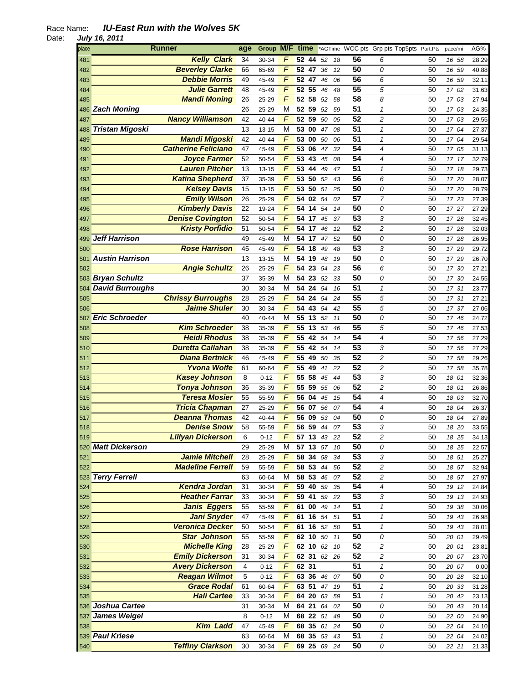| place | <b>Runner</b>              | age            | Group M/F |                | time                  |    |          |    |                 | *AGTime WCC pts Grp pts Top5pts Part.Pts |    | pace/mi  | AG%   |
|-------|----------------------------|----------------|-----------|----------------|-----------------------|----|----------|----|-----------------|------------------------------------------|----|----------|-------|
| 481   | <b>Kelly Clark</b>         | 34             | 30-34     | F              | 52 44 52              |    |          | 18 | 56              | 6                                        | 50 | 16 58    | 28.29 |
| 482   | <b>Beverley Clarke</b>     | 66             | 65-69     | F              | 52                    | 47 | 36       | 12 | 50              | 0                                        | 50 | 16 59    | 40.88 |
| 483   | <b>Debbie Morris</b>       | 49             | 45-49     | $\sqrt{2}$     | 52 47                 |    | 46       | 06 | 56              | 6                                        | 50 | 16 59    | 32.11 |
| 484   | Julie Garrett              | 48             | 45-49     | F              | 52 55                 |    | 46       | 48 | 55              | 5                                        | 50 | 17 02    | 31.63 |
| 485   | <b>Mandi Moning</b>        | 26             | 25-29     | $\overline{F}$ | $\overline{52}$ 58    |    | 52       | 58 | 58              | 8                                        | 50 | 17 03    | 27.94 |
|       | 486 Zach Moning            | 26             | 25-29     | M              | $\overline{52}$ 59    |    | 52       | 59 | 51              | $\mathbf{1}$                             | 50 | 17 03    | 24.35 |
| 487   | <b>Nancy Williamson</b>    | 42             | 40-44     | F              | 52 59                 |    | 50       | 05 | 52              | 2                                        | 50 | 17 03    | 29.55 |
|       | 488 Tristan Migoski        | 13             | $13 - 15$ | M              | 53 00                 |    | 47       | 08 | 51              | 1                                        | 50 | 17 04    | 27.37 |
| 489   | <b>Mandi Migoski</b>       | 42             | 40-44     | F              | 53 00                 |    | 50       | 06 | 51              | 1                                        | 50 | 17 04    | 29.54 |
| 490   | <b>Catherine Feliciano</b> | 47             | 45-49     | F              | 53 06                 |    | 47       | 32 | 54              | 4                                        | 50 | 17 05    | 31.13 |
| 491   | <b>Joyce Farmer</b>        | 52             | 50-54     | F              | 53 43                 |    | 45       | 08 | 54              | 4                                        | 50 | 17 17    | 32.79 |
| 492   | <b>Lauren Pitcher</b>      | 13             | 13-15     | $\overline{F}$ | $53$ 44               |    | 49<br>47 |    | 51              | $\mathbf{1}$                             | 50 | 17 18    | 29.73 |
| 493   | <b>Katina Shepherd</b>     | 37             | 35-39     | F              | 53 50                 |    | 52       | 43 | 56              | 6                                        | 50 | 17 20    | 28.07 |
| 494   | <b>Kelsey Davis</b>        | 15             | 13-15     | F              | 53 50                 |    | 51       | 25 | 50              | 0                                        | 50 | 17 20    | 28.79 |
| 495   | <b>Emily Wilson</b>        | 26             | 25-29     | $\overline{F}$ | 54 02                 |    | 54       | 02 | $\overline{57}$ | 7                                        | 50 | 17 23    | 27.39 |
| 496   | <b>Kimberly Davis</b>      | 22             | 19-24     | F              | 54 14                 |    | 54       | 14 | 50              | 0                                        | 50 | 17 27    | 27.29 |
| 497   | <b>Denise Covington</b>    | 52             | 50-54     | F              | $54$ 17               |    | 45       | 37 | 53              | 3                                        | 50 | 17 28    | 32.45 |
| 498   | <b>Kristy Porfidio</b>     | 51             | 50-54     | $\overline{F}$ | 54 17                 |    | 46       | 12 | 52              | 2                                        | 50 | 17 28    | 32.03 |
| 499   | <b>Jeff Harrison</b>       | 49             | 45-49     | M              | 54 17                 |    | 47       | 52 | 50              | 0                                        | 50 | 17 28    | 26.95 |
|       | <b>Rose Harrison</b>       | 45             |           | F              | 54 18                 |    |          |    | 53              | 3                                        | 50 |          |       |
| 500   | <b>Austin Harrison</b>     | 13             | 45-49     | M              |                       |    | 49       | 48 | 50              |                                          |    | 17 29    | 29.72 |
| 501   |                            |                | 13-15     | $\sqrt{2}$     | 54 19                 |    | 48       | 19 | 56              | 0                                        | 50 | 17 29    | 26.70 |
| 502   | <b>Angie Schultz</b>       | 26             | 25-29     |                | 54 23                 |    | 54       | 23 |                 | 6                                        | 50 | 17 30    | 27.21 |
|       | 503 Bryan Schultz          | 37             | 35-39     | M              | $\overline{54}$ 23 52 |    |          | 33 | 50              | 0                                        | 50 | 17 30    | 24.55 |
|       | 504 David Burroughs        | 30             | 30-34     | M              | 54 24                 |    | 54       | 16 | 51              | 1                                        | 50 | 17 31    | 23.77 |
| 505   | <b>Chrissy Burroughs</b>   | 28             | 25-29     | $\sqrt{ }$     | $\overline{54}$ 24    |    | 54<br>24 |    | $\overline{55}$ | 5                                        | 50 | 17 31    | 27.21 |
| 506   | <b>Jaime Shuler</b>        | 30             | 30-34     | $\sqrt{2}$     | 54                    | 43 | 54       | 42 | $\overline{55}$ | 5                                        | 50 | 17 37    | 27.06 |
|       | 507 Eric Schroeder         | 40             | 40-44     | M              | 55 13                 |    | 52<br>11 |    | 50              | 0                                        | 50 | 17 46    | 24.72 |
| 508   | <b>Kim Schroeder</b>       | 38             | 35-39     | $\sqrt{2}$     | $\overline{55}$ 13    |    | 53       | 46 | 55              | 5                                        | 50 | 17 46    | 27.53 |
| 509   | <b>Heidi Rhodus</b>        | 38             | 35-39     | $\overline{F}$ | 55 42                 |    | 54       | 14 | 54              | 4                                        | 50 | 17 56    | 27.29 |
| 510   | <b>Duretta Callahan</b>    | 38             | 35-39     | $\overline{F}$ | 55 42                 |    | 54       | 14 | 53              | 3                                        | 50 | 17 56    | 27.29 |
| 511   | <b>Diana Bertnick</b>      | 46             | 45-49     | F              | 55 49                 |    | 50       | 35 | 52              | 2                                        | 50 | 17 58    | 29.26 |
| 512   | <b>Yvona Wolfe</b>         | 61             | 60-64     | F              | 55 49                 |    | 41       | 22 | 52              | 2                                        | 50 | 17 58    | 35.78 |
| 513   | <b>Kasey Johnson</b>       | 8              | $0 - 12$  | F              | 55 58                 |    | 45       | 44 | 53              | 3                                        | 50 | 18 01    | 32.36 |
| 514   | <b>Tonya Johnson</b>       | 36             | 35-39     | F              | $\overline{55}$ 59    |    | 55       | 06 | 52              | 2                                        | 50 | 18 01    | 26.86 |
| 515   | <b>Teresa Mosier</b>       | 55             | 55-59     | F              | 56 04                 |    | 45       | 15 | 54              | 4                                        | 50 | 18 03    | 32.70 |
| 516   | <b>Tricia Chapman</b>      | 27             | 25-29     | F              | 56 07 56              |    |          | 07 | 54              | 4                                        | 50 | 18 04    | 26.37 |
| 517   | <b>Deanna Thomas</b>       | 42             | 40-44     | F              | $\overline{56}$ 09    |    | 53       | 04 | 50              | 0                                        | 50 | 18<br>04 | 27.89 |
| 518   | <b>Denise Snow</b>         | 58             | 55-59     | F              | 56 59                 |    | 44<br>07 |    | 53              | 3                                        | 50 | 18 20    | 33.55 |
| 519   | <b>Lillyan Dickerson</b>   | 6              | $0 - 12$  | F              | 57 13 43              |    | -22      |    | 52              | 2                                        | 50 | 18 25    | 34.13 |
|       | 520 Matt Dickerson         | 29             | 25-29     | M              | 57 13                 |    | 57       | 10 | 50              | 0                                        | 50 | 18 25    | 22.57 |
| 521   | <b>Jamie Mitchell</b>      | 28             | 25-29     | F              | 58 34 58              |    |          | 34 | 53              | 3                                        | 50 | 18 51    | 25.27 |
| 522   | <b>Madeline Ferrell</b>    | 59             | 55-59     | $\overline{F}$ | 58 53                 |    | $44\,$   | 56 | 52              | $\overline{c}$                           | 50 | 18 57    | 32.94 |
|       | 523 Terry Ferrell          | 63             | 60-64     | M              | 58, 53                |    | 46       | 07 | 52              | $\overline{c}$                           | 50 | 18 57    | 27.97 |
| 524   | <b>Kendra Jordan</b>       | 31             | 30-34     | F              | 59 40 59              |    |          | 35 | 54              | 4                                        | 50 | 19 12    | 24.84 |
| 525   | <b>Heather Farrar</b>      | 33             | 30-34     | F              | 59 41 59              |    | 22       |    | 53              | 3                                        | 50 | 19 13    | 24.93 |
| 526   | <b>Janis Eggers</b>        | 55             | 55-59     | F              | 61 00                 |    | 49       | 14 | 51              | 1                                        | 50 | 19 38    | 30.06 |
| 527   | <b>Jani Snyder</b>         | 47             | 45-49     | F              | 61 16 54              |    | 51       |    | 51              | 1                                        | 50 | 19 43    | 26.98 |
| 528   | <b>Veronica Decker</b>     | 50             | 50-54     | F              | 61 16 52              |    |          | 50 | 51              | $\mathbf{1}$                             | 50 | 19 43    | 28.01 |
| 529   | <b>Star Johnson</b>        | 55             | 55-59     | $\overline{F}$ | 62 10 50              |    | 11       |    | 50              | 0                                        | 50 | 20 01    | 29.49 |
| 530   | <b>Michelle King</b>       | 28             | 25-29     | $\sqrt{2}$     | 62 10 62              |    |          | 10 | 52              | $\overline{\mathbf{c}}$                  | 50 | 20 01    | 23.81 |
| 531   | <b>Emily Dickerson</b>     | 31             | 30-34     | F              | 62 31 62              |    | 26       |    | $\overline{52}$ | $\sqrt{2}$                               | 50 | 20 07    | 23.70 |
| 532   | <b>Avery Dickerson</b>     | $\overline{4}$ | $0 - 12$  | $\overline{F}$ | 62 31                 |    |          |    | 51              | $\mathbf{1}$                             | 50 | 20 07    | 0.00  |
| 533   | <b>Reagan Wilmot</b>       | 5              | $0 - 12$  | $\overline{F}$ | 63 36                 |    | 46<br>07 |    | 50              | 0                                        | 50 | 20 28    | 32.10 |
| 534   | <b>Grace Rodal</b>         | 61             | 60-64     | F              | 63 51 47              |    |          | 19 | 51              | 1                                        | 50 | 20 33    | 31.28 |
| 535   | <b>Hali Cartee</b>         | 33             | 30-34     | F              | 64 20                 |    | 63       | 59 | 51              | 1                                        | 50 | 20 42    | 23.13 |
|       | 536 Joshua Cartee          | 31             | 30-34     | M              | 64 21                 |    | 64       | 02 | 50              | 0                                        | 50 | 20 43    | 20.14 |
|       | 537 James Weigel           | 8              | $0 - 12$  | M              | 68 22 51              |    |          | 49 | 50              | 0                                        | 50 | 22 00    | 24.90 |
| 538   | <b>Kim Ladd</b>            | 47             | 45-49     | F              | 68 35 61              |    |          | 24 | 50              | 0                                        | 50 | 22 04    | 24.10 |
|       | 539 Paul Kriese            | 63             | 60-64     | M              | 68 35 53              |    |          | 43 | 51              | 1                                        | 50 | 22 04    | 24.02 |
| 540   | <b>Teffiny Clarkson</b>    | 30             | 30-34     | F              | 69 25 69 24           |    |          |    | 50              | 0                                        | 50 | 22 21    | 21.33 |